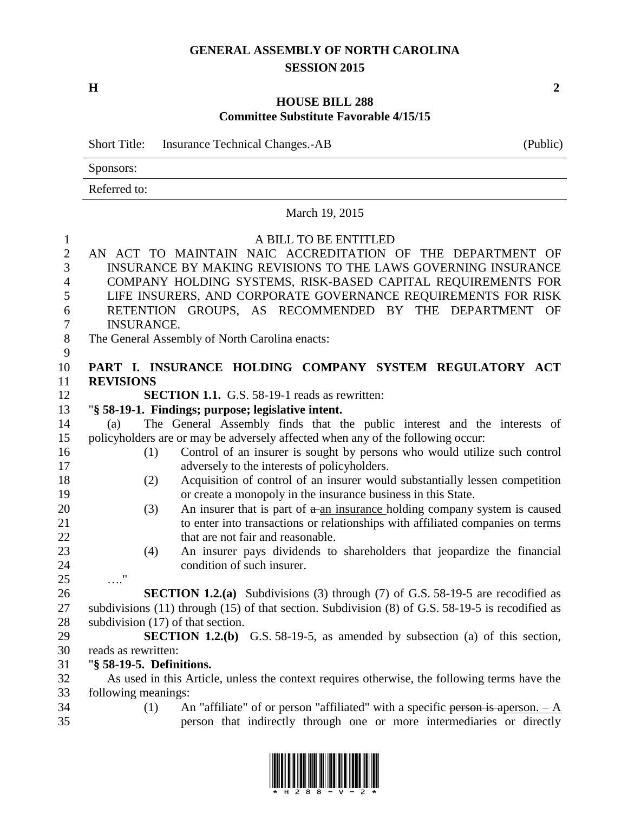### **GENERAL ASSEMBLY OF NORTH CAROLINA SESSION 2015**

**H 2**

#### **HOUSE BILL 288 Committee Substitute Favorable 4/15/15**

|                | <b>Short Title:</b><br>Insurance Technical Changes.-AB | (Public)                                                                                               |  |  |  |  |  |  |
|----------------|--------------------------------------------------------|--------------------------------------------------------------------------------------------------------|--|--|--|--|--|--|
|                | Sponsors:                                              |                                                                                                        |  |  |  |  |  |  |
|                | Referred to:                                           |                                                                                                        |  |  |  |  |  |  |
|                | March 19, 2015                                         |                                                                                                        |  |  |  |  |  |  |
| $\mathbf{1}$   |                                                        | A BILL TO BE ENTITLED                                                                                  |  |  |  |  |  |  |
| $\overline{2}$ |                                                        | AN ACT TO MAINTAIN NAIC ACCREDITATION OF THE DEPARTMENT OF                                             |  |  |  |  |  |  |
| 3              |                                                        | INSURANCE BY MAKING REVISIONS TO THE LAWS GOVERNING INSURANCE                                          |  |  |  |  |  |  |
| 4              |                                                        | COMPANY HOLDING SYSTEMS, RISK-BASED CAPITAL REQUIREMENTS FOR                                           |  |  |  |  |  |  |
| $\mathfrak s$  |                                                        | LIFE INSURERS, AND CORPORATE GOVERNANCE REQUIREMENTS FOR RISK                                          |  |  |  |  |  |  |
| 6              |                                                        | RETENTION GROUPS, AS RECOMMENDED BY THE DEPARTMENT OF                                                  |  |  |  |  |  |  |
| $\tau$         | <b>INSURANCE.</b>                                      |                                                                                                        |  |  |  |  |  |  |
| $8\,$          |                                                        | The General Assembly of North Carolina enacts:                                                         |  |  |  |  |  |  |
| 9              |                                                        |                                                                                                        |  |  |  |  |  |  |
| 10             |                                                        | PART I. INSURANCE HOLDING COMPANY SYSTEM REGULATORY ACT                                                |  |  |  |  |  |  |
| 11             | <b>REVISIONS</b>                                       |                                                                                                        |  |  |  |  |  |  |
| 12             | <b>SECTION 1.1.</b> G.S. 58-19-1 reads as rewritten:   |                                                                                                        |  |  |  |  |  |  |
| 13             | "§ 58-19-1. Findings; purpose; legislative intent.     |                                                                                                        |  |  |  |  |  |  |
| 14             | (a)                                                    | The General Assembly finds that the public interest and the interests of                               |  |  |  |  |  |  |
| 15             |                                                        | policyholders are or may be adversely affected when any of the following occur:                        |  |  |  |  |  |  |
| 16             | (1)                                                    | Control of an insurer is sought by persons who would utilize such control                              |  |  |  |  |  |  |
| 17             |                                                        | adversely to the interests of policyholders.                                                           |  |  |  |  |  |  |
| 18             | (2)                                                    | Acquisition of control of an insurer would substantially lessen competition                            |  |  |  |  |  |  |
| 19             |                                                        | or create a monopoly in the insurance business in this State.                                          |  |  |  |  |  |  |
| 20             | (3)                                                    | An insurer that is part of $a$ -an insurance holding company system is caused                          |  |  |  |  |  |  |
| 21             |                                                        | to enter into transactions or relationships with affiliated companies on terms                         |  |  |  |  |  |  |
| 22             |                                                        | that are not fair and reasonable.                                                                      |  |  |  |  |  |  |
| 23             | (4)                                                    | An insurer pays dividends to shareholders that jeopardize the financial                                |  |  |  |  |  |  |
| 24             |                                                        | condition of such insurer.                                                                             |  |  |  |  |  |  |
| 25             | $^{\prime\prime}$                                      |                                                                                                        |  |  |  |  |  |  |
| 26             |                                                        | <b>SECTION 1.2.(a)</b> Subdivisions (3) through (7) of G.S. 58-19-5 are recodified as                  |  |  |  |  |  |  |
| 27             |                                                        | subdivisions $(11)$ through $(15)$ of that section. Subdivision $(8)$ of G.S. 58-19-5 is recodified as |  |  |  |  |  |  |
| 28             | subdivision (17) of that section.                      |                                                                                                        |  |  |  |  |  |  |
| 29             |                                                        | <b>SECTION 1.2.(b)</b> G.S. 58-19-5, as amended by subsection (a) of this section,                     |  |  |  |  |  |  |
| 30             | reads as rewritten:                                    |                                                                                                        |  |  |  |  |  |  |
| 31             | "§ 58-19-5. Definitions.                               |                                                                                                        |  |  |  |  |  |  |
| 32             |                                                        | As used in this Article, unless the context requires otherwise, the following terms have the           |  |  |  |  |  |  |
| 33             | following meanings:                                    |                                                                                                        |  |  |  |  |  |  |
| 34             | (1)                                                    | An "affiliate" of or person "affiliated" with a specific person is aperson. $-A$                       |  |  |  |  |  |  |
| 35             |                                                        | person that indirectly through one or more intermediaries or directly                                  |  |  |  |  |  |  |

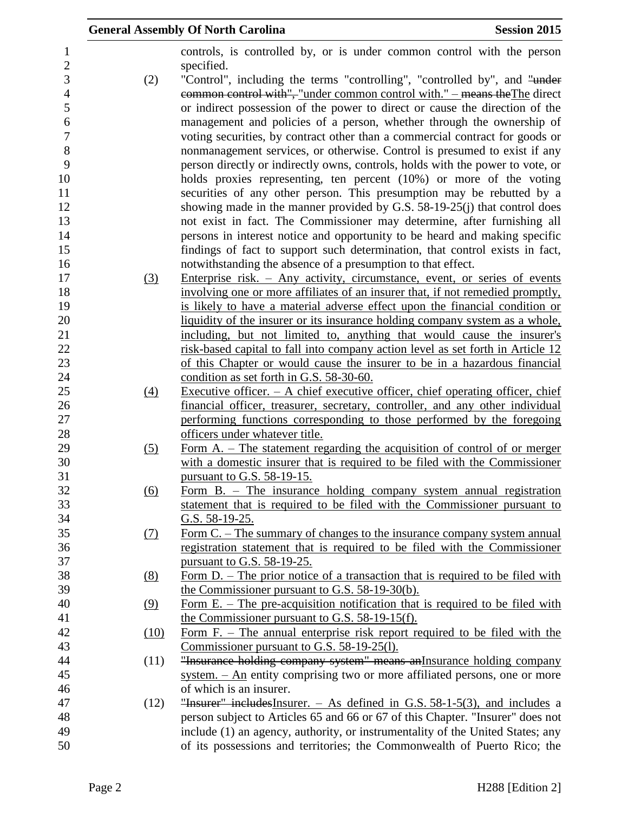|            | <b>General Assembly Of North Carolina</b>                                                                                                                 | <b>Session 2015</b> |
|------------|-----------------------------------------------------------------------------------------------------------------------------------------------------------|---------------------|
|            | controls, is controlled by, or is under common control with the person<br>specified.                                                                      |                     |
| (2)        | "Control", including the terms "controlling", "controlled by", and "under                                                                                 |                     |
|            | common control with", "under common control with." - means the The direct                                                                                 |                     |
|            | or indirect possession of the power to direct or cause the direction of the                                                                               |                     |
|            | management and policies of a person, whether through the ownership of                                                                                     |                     |
|            | voting securities, by contract other than a commercial contract for goods or<br>nonmanagement services, or otherwise. Control is presumed to exist if any |                     |
|            | person directly or indirectly owns, controls, holds with the power to vote, or                                                                            |                     |
|            | holds proxies representing, ten percent (10%) or more of the voting                                                                                       |                     |
|            | securities of any other person. This presumption may be rebutted by a                                                                                     |                     |
|            | showing made in the manner provided by G.S. 58-19-25(j) that control does                                                                                 |                     |
|            | not exist in fact. The Commissioner may determine, after furnishing all                                                                                   |                     |
|            | persons in interest notice and opportunity to be heard and making specific                                                                                |                     |
|            | findings of fact to support such determination, that control exists in fact,                                                                              |                     |
|            | notwithstanding the absence of a presumption to that effect.                                                                                              |                     |
| (3)        | Enterprise risk. – Any activity, circumstance, event, or series of events                                                                                 |                     |
|            | involving one or more affiliates of an insurer that, if not remedied promptly,                                                                            |                     |
|            | is likely to have a material adverse effect upon the financial condition or                                                                               |                     |
|            | liquidity of the insurer or its insurance holding company system as a whole,                                                                              |                     |
|            | including, but not limited to, anything that would cause the insurer's                                                                                    |                     |
|            | risk-based capital to fall into company action level as set forth in Article 12                                                                           |                     |
|            | of this Chapter or would cause the insurer to be in a hazardous financial                                                                                 |                     |
|            | condition as set forth in G.S. 58-30-60.                                                                                                                  |                     |
| (4)        | Executive officer. $- A$ chief executive officer, chief operating officer, chief                                                                          |                     |
|            | financial officer, treasurer, secretary, controller, and any other individual                                                                             |                     |
|            | performing functions corresponding to those performed by the foregoing                                                                                    |                     |
|            | officers under whatever title.                                                                                                                            |                     |
| (5)        | Form $A$ . – The statement regarding the acquisition of control of or merger                                                                              |                     |
|            | with a domestic insurer that is required to be filed with the Commissioner<br>pursuant to G.S. 58-19-15.                                                  |                     |
| (6)        | Form $B.$ – The insurance holding company system annual registration                                                                                      |                     |
|            | statement that is required to be filed with the Commissioner pursuant to                                                                                  |                     |
|            | G.S. 58-19-25.                                                                                                                                            |                     |
| <u>(7)</u> | Form C. – The summary of changes to the insurance company system annual                                                                                   |                     |
|            | registration statement that is required to be filed with the Commissioner                                                                                 |                     |
|            | pursuant to G.S. 58-19-25.                                                                                                                                |                     |
| <u>(8)</u> | Form D. – The prior notice of a transaction that is required to be filed with                                                                             |                     |
|            | the Commissioner pursuant to G.S. 58-19-30(b).                                                                                                            |                     |
| (9)        | Form $E.$ – The pre-acquisition notification that is required to be filed with                                                                            |                     |
|            | the Commissioner pursuant to G.S. 58-19-15(f).                                                                                                            |                     |
| (10)       | <u>Form F. – The annual enterprise risk report required to be filed with the</u>                                                                          |                     |
|            | Commissioner pursuant to G.S. 58-19-25(1).                                                                                                                |                     |
| (11)       | "Insurance holding company system" means anInsurance holding company                                                                                      |                     |
|            | $system. - An$ entity comprising two or more affiliated persons, one or more                                                                              |                     |
|            | of which is an insurer.                                                                                                                                   |                     |
| (12)       | "Insurer" includes Insurer. $-$ As defined in G.S. 58-1-5(3), and includes a                                                                              |                     |
|            | person subject to Articles 65 and 66 or 67 of this Chapter. "Insurer" does not                                                                            |                     |
|            | include (1) an agency, authority, or instrumentality of the United States; any                                                                            |                     |
|            | of its possessions and territories; the Commonwealth of Puerto Rico; the                                                                                  |                     |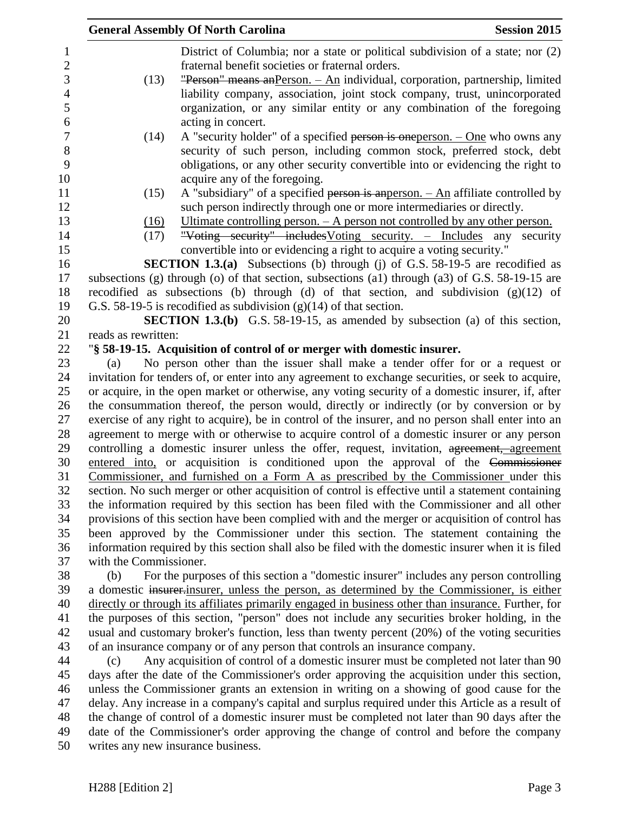|                      |                        | <b>General Assembly Of North Carolina</b>                                                                                                                   | <b>Session 2015</b> |
|----------------------|------------------------|-------------------------------------------------------------------------------------------------------------------------------------------------------------|---------------------|
| 1<br>$\overline{2}$  |                        | District of Columbia; nor a state or political subdivision of a state; nor (2)<br>fraternal benefit societies or fraternal orders.                          |                     |
| 3                    | (13)                   | "Person" means an Person. $-$ An individual, corporation, partnership, limited                                                                              |                     |
| $\overline{4}$       |                        | liability company, association, joint stock company, trust, unincorporated                                                                                  |                     |
| $\mathfrak{S}$       |                        | organization, or any similar entity or any combination of the foregoing                                                                                     |                     |
| 6                    |                        | acting in concert.                                                                                                                                          |                     |
| 7                    | (14)                   | A "security holder" of a specified person is one person. $-$ One who owns any                                                                               |                     |
| $8\,$                |                        | security of such person, including common stock, preferred stock, debt                                                                                      |                     |
| 9                    |                        | obligations, or any other security convertible into or evidencing the right to                                                                              |                     |
| 10                   |                        | acquire any of the foregoing.                                                                                                                               |                     |
| 11                   | (15)                   | A "subsidiary" of a specified person is an error. $-An$ affiliate controlled by                                                                             |                     |
| 12                   |                        | such person indirectly through one or more intermediaries or directly.                                                                                      |                     |
| 13                   | (16)                   | Ultimate controlling person. $- A$ person not controlled by any other person.                                                                               |                     |
| 14                   | (17)                   | "Voting security" includes Voting security. - Includes any                                                                                                  | security            |
| 15                   |                        | convertible into or evidencing a right to acquire a voting security."                                                                                       |                     |
| 16                   |                        | <b>SECTION 1.3.(a)</b> Subsections (b) through (j) of G.S. 58-19-5 are recodified as                                                                        |                     |
| 17                   |                        | subsections (g) through (o) of that section, subsections (a1) through (a3) of G.S. 58-19-15 are                                                             |                     |
| 18                   |                        | recodified as subsections (b) through (d) of that section, and subdivision $(g)(12)$ of                                                                     |                     |
| 19<br>20             |                        | G.S. 58-19-5 is recodified as subdivision $(g)(14)$ of that section.<br><b>SECTION 1.3.(b)</b> G.S. 58-19-15, as amended by subsection (a) of this section, |                     |
| 21                   | reads as rewritten:    |                                                                                                                                                             |                     |
| 22                   |                        | "§ 58-19-15. Acquisition of control of or merger with domestic insurer.                                                                                     |                     |
| 23                   | (a)                    | No person other than the issuer shall make a tender offer for or a request or                                                                               |                     |
| 24                   |                        | invitation for tenders of, or enter into any agreement to exchange securities, or seek to acquire,                                                          |                     |
| 25                   |                        | or acquire, in the open market or otherwise, any voting security of a domestic insurer, if, after                                                           |                     |
| 26                   |                        | the consummation thereof, the person would, directly or indirectly (or by conversion or by                                                                  |                     |
| 27                   |                        | exercise of any right to acquire), be in control of the insurer, and no person shall enter into an                                                          |                     |
| 28                   |                        | agreement to merge with or otherwise to acquire control of a domestic insurer or any person                                                                 |                     |
| 29                   |                        | controlling a domestic insurer unless the offer, request, invitation, agreement, agreement                                                                  |                     |
| 30                   |                        | entered into, or acquisition is conditioned upon the approval of the Commissioner                                                                           |                     |
| 31                   |                        | Commissioner, and furnished on a Form A as prescribed by the Commissioner under this                                                                        |                     |
| 32                   |                        | section. No such merger or other acquisition of control is effective until a statement containing                                                           |                     |
| 33                   |                        | the information required by this section has been filed with the Commissioner and all other                                                                 |                     |
| 34                   |                        | provisions of this section have been complied with and the merger or acquisition of control has                                                             |                     |
| 35                   |                        | been approved by the Commissioner under this section. The statement containing the                                                                          |                     |
| 36                   |                        | information required by this section shall also be filed with the domestic insurer when it is filed                                                         |                     |
| 37                   | with the Commissioner. |                                                                                                                                                             |                     |
| 38                   | (b)                    | For the purposes of this section a "domestic insurer" includes any person controlling                                                                       |                     |
| 39                   |                        | a domestic insurer-insurer, unless the person, as determined by the Commissioner, is either                                                                 |                     |
| 40                   |                        | directly or through its affiliates primarily engaged in business other than insurance. Further, for                                                         |                     |
| 41                   |                        | the purposes of this section, "person" does not include any securities broker holding, in the                                                               |                     |
| 42                   |                        | usual and customary broker's function, less than twenty percent (20%) of the voting securities                                                              |                     |
| 43                   |                        | of an insurance company or of any person that controls an insurance company.                                                                                |                     |
| 44<br>$\overline{A}$ | (c)                    | Any acquisition of control of a domestic insurer must be completed not later than 90                                                                        |                     |

 days after the date of the Commissioner's order approving the acquisition under this section, unless the Commissioner grants an extension in writing on a showing of good cause for the delay. Any increase in a company's capital and surplus required under this Article as a result of the change of control of a domestic insurer must be completed not later than 90 days after the date of the Commissioner's order approving the change of control and before the company writes any new insurance business.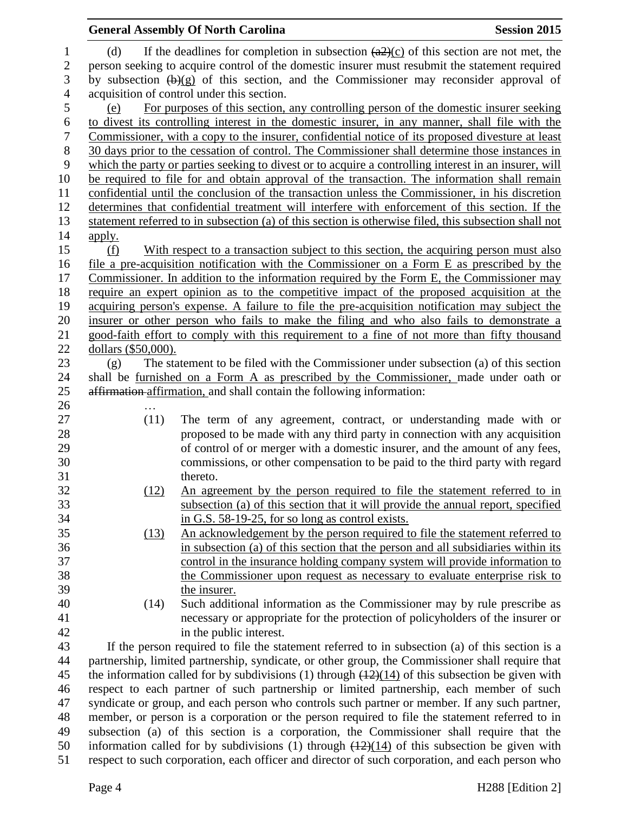| If the deadlines for completion in subsection $(a2)(c)$ of this section are not met, the<br>$\mathbf{1}$<br>(d)<br>$\overline{c}$<br>person seeking to acquire control of the domestic insurer must resubmit the statement required<br>3<br>by subsection $\left(\frac{b}{g}\right)$ of this section, and the Commissioner may reconsider approval of<br>$\overline{4}$<br>acquisition of control under this section.<br>5<br>For purposes of this section, any controlling person of the domestic insurer seeking<br>(e)<br>6<br>to divest its controlling interest in the domestic insurer, in any manner, shall file with the<br>7<br>Commissioner, with a copy to the insurer, confidential notice of its proposed divesture at least<br>$8\,$<br>30 days prior to the cessation of control. The Commissioner shall determine those instances in<br>9<br>which the party or parties seeking to divest or to acquire a controlling interest in an insurer, will<br>10<br>be required to file for and obtain approval of the transaction. The information shall remain<br>confidential until the conclusion of the transaction unless the Commissioner, in his discretion<br>11<br>12<br>determines that confidential treatment will interfere with enforcement of this section. If the<br>13<br>statement referred to in subsection (a) of this section is otherwise filed, this subsection shall not<br>14<br>apply.<br>15<br>With respect to a transaction subject to this section, the acquiring person must also<br>(f)<br>16<br><u>file a pre-acquisition notification with the Commissioner on a Form E as prescribed by the</u><br>17<br>Commissioner. In addition to the information required by the Form E, the Commissioner may<br>18<br>require an expert opinion as to the competitive impact of the proposed acquisition at the<br>acquiring person's expense. A failure to file the pre-acquisition notification may subject the<br>19<br>20<br>insurer or other person who fails to make the filing and who also fails to demonstrate a<br>21<br>good-faith effort to comply with this requirement to a fine of not more than fifty thousand<br>22<br>dollars (\$50,000).<br>23<br>The statement to be filed with the Commissioner under subsection (a) of this section<br>(g)<br>shall be <u>furnished on a Form A as prescribed by the Commissioner</u> , made under oath or<br>24<br>25<br>affirmation affirmation, and shall contain the following information:<br>26<br>27<br>(11)<br>The term of any agreement, contract, or understanding made with or<br>$28\,$<br>proposed to be made with any third party in connection with any acquisition<br>of control of or merger with a domestic insurer, and the amount of any fees,<br>29<br>30<br>commissions, or other compensation to be paid to the third party with regard<br>31<br>thereto.<br>32<br>An agreement by the person required to file the statement referred to in<br>(12) |
|------------------------------------------------------------------------------------------------------------------------------------------------------------------------------------------------------------------------------------------------------------------------------------------------------------------------------------------------------------------------------------------------------------------------------------------------------------------------------------------------------------------------------------------------------------------------------------------------------------------------------------------------------------------------------------------------------------------------------------------------------------------------------------------------------------------------------------------------------------------------------------------------------------------------------------------------------------------------------------------------------------------------------------------------------------------------------------------------------------------------------------------------------------------------------------------------------------------------------------------------------------------------------------------------------------------------------------------------------------------------------------------------------------------------------------------------------------------------------------------------------------------------------------------------------------------------------------------------------------------------------------------------------------------------------------------------------------------------------------------------------------------------------------------------------------------------------------------------------------------------------------------------------------------------------------------------------------------------------------------------------------------------------------------------------------------------------------------------------------------------------------------------------------------------------------------------------------------------------------------------------------------------------------------------------------------------------------------------------------------------------------------------------------------------------------------------------------------------------------------------------------------------------------------------------------------------------------------------------------------------------------------------------------------------------------------------------------------------------------------------------------------------------------------------------------------------------------------------------------------------------------------------------------------------------------------------------------------|
|                                                                                                                                                                                                                                                                                                                                                                                                                                                                                                                                                                                                                                                                                                                                                                                                                                                                                                                                                                                                                                                                                                                                                                                                                                                                                                                                                                                                                                                                                                                                                                                                                                                                                                                                                                                                                                                                                                                                                                                                                                                                                                                                                                                                                                                                                                                                                                                                                                                                                                                                                                                                                                                                                                                                                                                                                                                                                                                                                                  |
|                                                                                                                                                                                                                                                                                                                                                                                                                                                                                                                                                                                                                                                                                                                                                                                                                                                                                                                                                                                                                                                                                                                                                                                                                                                                                                                                                                                                                                                                                                                                                                                                                                                                                                                                                                                                                                                                                                                                                                                                                                                                                                                                                                                                                                                                                                                                                                                                                                                                                                                                                                                                                                                                                                                                                                                                                                                                                                                                                                  |
|                                                                                                                                                                                                                                                                                                                                                                                                                                                                                                                                                                                                                                                                                                                                                                                                                                                                                                                                                                                                                                                                                                                                                                                                                                                                                                                                                                                                                                                                                                                                                                                                                                                                                                                                                                                                                                                                                                                                                                                                                                                                                                                                                                                                                                                                                                                                                                                                                                                                                                                                                                                                                                                                                                                                                                                                                                                                                                                                                                  |
|                                                                                                                                                                                                                                                                                                                                                                                                                                                                                                                                                                                                                                                                                                                                                                                                                                                                                                                                                                                                                                                                                                                                                                                                                                                                                                                                                                                                                                                                                                                                                                                                                                                                                                                                                                                                                                                                                                                                                                                                                                                                                                                                                                                                                                                                                                                                                                                                                                                                                                                                                                                                                                                                                                                                                                                                                                                                                                                                                                  |
|                                                                                                                                                                                                                                                                                                                                                                                                                                                                                                                                                                                                                                                                                                                                                                                                                                                                                                                                                                                                                                                                                                                                                                                                                                                                                                                                                                                                                                                                                                                                                                                                                                                                                                                                                                                                                                                                                                                                                                                                                                                                                                                                                                                                                                                                                                                                                                                                                                                                                                                                                                                                                                                                                                                                                                                                                                                                                                                                                                  |
|                                                                                                                                                                                                                                                                                                                                                                                                                                                                                                                                                                                                                                                                                                                                                                                                                                                                                                                                                                                                                                                                                                                                                                                                                                                                                                                                                                                                                                                                                                                                                                                                                                                                                                                                                                                                                                                                                                                                                                                                                                                                                                                                                                                                                                                                                                                                                                                                                                                                                                                                                                                                                                                                                                                                                                                                                                                                                                                                                                  |
|                                                                                                                                                                                                                                                                                                                                                                                                                                                                                                                                                                                                                                                                                                                                                                                                                                                                                                                                                                                                                                                                                                                                                                                                                                                                                                                                                                                                                                                                                                                                                                                                                                                                                                                                                                                                                                                                                                                                                                                                                                                                                                                                                                                                                                                                                                                                                                                                                                                                                                                                                                                                                                                                                                                                                                                                                                                                                                                                                                  |
|                                                                                                                                                                                                                                                                                                                                                                                                                                                                                                                                                                                                                                                                                                                                                                                                                                                                                                                                                                                                                                                                                                                                                                                                                                                                                                                                                                                                                                                                                                                                                                                                                                                                                                                                                                                                                                                                                                                                                                                                                                                                                                                                                                                                                                                                                                                                                                                                                                                                                                                                                                                                                                                                                                                                                                                                                                                                                                                                                                  |
|                                                                                                                                                                                                                                                                                                                                                                                                                                                                                                                                                                                                                                                                                                                                                                                                                                                                                                                                                                                                                                                                                                                                                                                                                                                                                                                                                                                                                                                                                                                                                                                                                                                                                                                                                                                                                                                                                                                                                                                                                                                                                                                                                                                                                                                                                                                                                                                                                                                                                                                                                                                                                                                                                                                                                                                                                                                                                                                                                                  |
|                                                                                                                                                                                                                                                                                                                                                                                                                                                                                                                                                                                                                                                                                                                                                                                                                                                                                                                                                                                                                                                                                                                                                                                                                                                                                                                                                                                                                                                                                                                                                                                                                                                                                                                                                                                                                                                                                                                                                                                                                                                                                                                                                                                                                                                                                                                                                                                                                                                                                                                                                                                                                                                                                                                                                                                                                                                                                                                                                                  |
|                                                                                                                                                                                                                                                                                                                                                                                                                                                                                                                                                                                                                                                                                                                                                                                                                                                                                                                                                                                                                                                                                                                                                                                                                                                                                                                                                                                                                                                                                                                                                                                                                                                                                                                                                                                                                                                                                                                                                                                                                                                                                                                                                                                                                                                                                                                                                                                                                                                                                                                                                                                                                                                                                                                                                                                                                                                                                                                                                                  |
|                                                                                                                                                                                                                                                                                                                                                                                                                                                                                                                                                                                                                                                                                                                                                                                                                                                                                                                                                                                                                                                                                                                                                                                                                                                                                                                                                                                                                                                                                                                                                                                                                                                                                                                                                                                                                                                                                                                                                                                                                                                                                                                                                                                                                                                                                                                                                                                                                                                                                                                                                                                                                                                                                                                                                                                                                                                                                                                                                                  |
|                                                                                                                                                                                                                                                                                                                                                                                                                                                                                                                                                                                                                                                                                                                                                                                                                                                                                                                                                                                                                                                                                                                                                                                                                                                                                                                                                                                                                                                                                                                                                                                                                                                                                                                                                                                                                                                                                                                                                                                                                                                                                                                                                                                                                                                                                                                                                                                                                                                                                                                                                                                                                                                                                                                                                                                                                                                                                                                                                                  |
|                                                                                                                                                                                                                                                                                                                                                                                                                                                                                                                                                                                                                                                                                                                                                                                                                                                                                                                                                                                                                                                                                                                                                                                                                                                                                                                                                                                                                                                                                                                                                                                                                                                                                                                                                                                                                                                                                                                                                                                                                                                                                                                                                                                                                                                                                                                                                                                                                                                                                                                                                                                                                                                                                                                                                                                                                                                                                                                                                                  |
|                                                                                                                                                                                                                                                                                                                                                                                                                                                                                                                                                                                                                                                                                                                                                                                                                                                                                                                                                                                                                                                                                                                                                                                                                                                                                                                                                                                                                                                                                                                                                                                                                                                                                                                                                                                                                                                                                                                                                                                                                                                                                                                                                                                                                                                                                                                                                                                                                                                                                                                                                                                                                                                                                                                                                                                                                                                                                                                                                                  |
|                                                                                                                                                                                                                                                                                                                                                                                                                                                                                                                                                                                                                                                                                                                                                                                                                                                                                                                                                                                                                                                                                                                                                                                                                                                                                                                                                                                                                                                                                                                                                                                                                                                                                                                                                                                                                                                                                                                                                                                                                                                                                                                                                                                                                                                                                                                                                                                                                                                                                                                                                                                                                                                                                                                                                                                                                                                                                                                                                                  |
|                                                                                                                                                                                                                                                                                                                                                                                                                                                                                                                                                                                                                                                                                                                                                                                                                                                                                                                                                                                                                                                                                                                                                                                                                                                                                                                                                                                                                                                                                                                                                                                                                                                                                                                                                                                                                                                                                                                                                                                                                                                                                                                                                                                                                                                                                                                                                                                                                                                                                                                                                                                                                                                                                                                                                                                                                                                                                                                                                                  |
|                                                                                                                                                                                                                                                                                                                                                                                                                                                                                                                                                                                                                                                                                                                                                                                                                                                                                                                                                                                                                                                                                                                                                                                                                                                                                                                                                                                                                                                                                                                                                                                                                                                                                                                                                                                                                                                                                                                                                                                                                                                                                                                                                                                                                                                                                                                                                                                                                                                                                                                                                                                                                                                                                                                                                                                                                                                                                                                                                                  |
|                                                                                                                                                                                                                                                                                                                                                                                                                                                                                                                                                                                                                                                                                                                                                                                                                                                                                                                                                                                                                                                                                                                                                                                                                                                                                                                                                                                                                                                                                                                                                                                                                                                                                                                                                                                                                                                                                                                                                                                                                                                                                                                                                                                                                                                                                                                                                                                                                                                                                                                                                                                                                                                                                                                                                                                                                                                                                                                                                                  |
|                                                                                                                                                                                                                                                                                                                                                                                                                                                                                                                                                                                                                                                                                                                                                                                                                                                                                                                                                                                                                                                                                                                                                                                                                                                                                                                                                                                                                                                                                                                                                                                                                                                                                                                                                                                                                                                                                                                                                                                                                                                                                                                                                                                                                                                                                                                                                                                                                                                                                                                                                                                                                                                                                                                                                                                                                                                                                                                                                                  |
|                                                                                                                                                                                                                                                                                                                                                                                                                                                                                                                                                                                                                                                                                                                                                                                                                                                                                                                                                                                                                                                                                                                                                                                                                                                                                                                                                                                                                                                                                                                                                                                                                                                                                                                                                                                                                                                                                                                                                                                                                                                                                                                                                                                                                                                                                                                                                                                                                                                                                                                                                                                                                                                                                                                                                                                                                                                                                                                                                                  |
|                                                                                                                                                                                                                                                                                                                                                                                                                                                                                                                                                                                                                                                                                                                                                                                                                                                                                                                                                                                                                                                                                                                                                                                                                                                                                                                                                                                                                                                                                                                                                                                                                                                                                                                                                                                                                                                                                                                                                                                                                                                                                                                                                                                                                                                                                                                                                                                                                                                                                                                                                                                                                                                                                                                                                                                                                                                                                                                                                                  |
|                                                                                                                                                                                                                                                                                                                                                                                                                                                                                                                                                                                                                                                                                                                                                                                                                                                                                                                                                                                                                                                                                                                                                                                                                                                                                                                                                                                                                                                                                                                                                                                                                                                                                                                                                                                                                                                                                                                                                                                                                                                                                                                                                                                                                                                                                                                                                                                                                                                                                                                                                                                                                                                                                                                                                                                                                                                                                                                                                                  |
|                                                                                                                                                                                                                                                                                                                                                                                                                                                                                                                                                                                                                                                                                                                                                                                                                                                                                                                                                                                                                                                                                                                                                                                                                                                                                                                                                                                                                                                                                                                                                                                                                                                                                                                                                                                                                                                                                                                                                                                                                                                                                                                                                                                                                                                                                                                                                                                                                                                                                                                                                                                                                                                                                                                                                                                                                                                                                                                                                                  |
|                                                                                                                                                                                                                                                                                                                                                                                                                                                                                                                                                                                                                                                                                                                                                                                                                                                                                                                                                                                                                                                                                                                                                                                                                                                                                                                                                                                                                                                                                                                                                                                                                                                                                                                                                                                                                                                                                                                                                                                                                                                                                                                                                                                                                                                                                                                                                                                                                                                                                                                                                                                                                                                                                                                                                                                                                                                                                                                                                                  |
|                                                                                                                                                                                                                                                                                                                                                                                                                                                                                                                                                                                                                                                                                                                                                                                                                                                                                                                                                                                                                                                                                                                                                                                                                                                                                                                                                                                                                                                                                                                                                                                                                                                                                                                                                                                                                                                                                                                                                                                                                                                                                                                                                                                                                                                                                                                                                                                                                                                                                                                                                                                                                                                                                                                                                                                                                                                                                                                                                                  |
|                                                                                                                                                                                                                                                                                                                                                                                                                                                                                                                                                                                                                                                                                                                                                                                                                                                                                                                                                                                                                                                                                                                                                                                                                                                                                                                                                                                                                                                                                                                                                                                                                                                                                                                                                                                                                                                                                                                                                                                                                                                                                                                                                                                                                                                                                                                                                                                                                                                                                                                                                                                                                                                                                                                                                                                                                                                                                                                                                                  |
|                                                                                                                                                                                                                                                                                                                                                                                                                                                                                                                                                                                                                                                                                                                                                                                                                                                                                                                                                                                                                                                                                                                                                                                                                                                                                                                                                                                                                                                                                                                                                                                                                                                                                                                                                                                                                                                                                                                                                                                                                                                                                                                                                                                                                                                                                                                                                                                                                                                                                                                                                                                                                                                                                                                                                                                                                                                                                                                                                                  |
|                                                                                                                                                                                                                                                                                                                                                                                                                                                                                                                                                                                                                                                                                                                                                                                                                                                                                                                                                                                                                                                                                                                                                                                                                                                                                                                                                                                                                                                                                                                                                                                                                                                                                                                                                                                                                                                                                                                                                                                                                                                                                                                                                                                                                                                                                                                                                                                                                                                                                                                                                                                                                                                                                                                                                                                                                                                                                                                                                                  |
|                                                                                                                                                                                                                                                                                                                                                                                                                                                                                                                                                                                                                                                                                                                                                                                                                                                                                                                                                                                                                                                                                                                                                                                                                                                                                                                                                                                                                                                                                                                                                                                                                                                                                                                                                                                                                                                                                                                                                                                                                                                                                                                                                                                                                                                                                                                                                                                                                                                                                                                                                                                                                                                                                                                                                                                                                                                                                                                                                                  |
|                                                                                                                                                                                                                                                                                                                                                                                                                                                                                                                                                                                                                                                                                                                                                                                                                                                                                                                                                                                                                                                                                                                                                                                                                                                                                                                                                                                                                                                                                                                                                                                                                                                                                                                                                                                                                                                                                                                                                                                                                                                                                                                                                                                                                                                                                                                                                                                                                                                                                                                                                                                                                                                                                                                                                                                                                                                                                                                                                                  |
|                                                                                                                                                                                                                                                                                                                                                                                                                                                                                                                                                                                                                                                                                                                                                                                                                                                                                                                                                                                                                                                                                                                                                                                                                                                                                                                                                                                                                                                                                                                                                                                                                                                                                                                                                                                                                                                                                                                                                                                                                                                                                                                                                                                                                                                                                                                                                                                                                                                                                                                                                                                                                                                                                                                                                                                                                                                                                                                                                                  |
| 33<br>subsection (a) of this section that it will provide the annual report, specified                                                                                                                                                                                                                                                                                                                                                                                                                                                                                                                                                                                                                                                                                                                                                                                                                                                                                                                                                                                                                                                                                                                                                                                                                                                                                                                                                                                                                                                                                                                                                                                                                                                                                                                                                                                                                                                                                                                                                                                                                                                                                                                                                                                                                                                                                                                                                                                                                                                                                                                                                                                                                                                                                                                                                                                                                                                                           |
| 34<br>in G.S. 58-19-25, for so long as control exists.                                                                                                                                                                                                                                                                                                                                                                                                                                                                                                                                                                                                                                                                                                                                                                                                                                                                                                                                                                                                                                                                                                                                                                                                                                                                                                                                                                                                                                                                                                                                                                                                                                                                                                                                                                                                                                                                                                                                                                                                                                                                                                                                                                                                                                                                                                                                                                                                                                                                                                                                                                                                                                                                                                                                                                                                                                                                                                           |
| 35<br>An acknowledgement by the person required to file the statement referred to<br>(13)                                                                                                                                                                                                                                                                                                                                                                                                                                                                                                                                                                                                                                                                                                                                                                                                                                                                                                                                                                                                                                                                                                                                                                                                                                                                                                                                                                                                                                                                                                                                                                                                                                                                                                                                                                                                                                                                                                                                                                                                                                                                                                                                                                                                                                                                                                                                                                                                                                                                                                                                                                                                                                                                                                                                                                                                                                                                        |
| 36<br>in subsection (a) of this section that the person and all subsidiaries within its                                                                                                                                                                                                                                                                                                                                                                                                                                                                                                                                                                                                                                                                                                                                                                                                                                                                                                                                                                                                                                                                                                                                                                                                                                                                                                                                                                                                                                                                                                                                                                                                                                                                                                                                                                                                                                                                                                                                                                                                                                                                                                                                                                                                                                                                                                                                                                                                                                                                                                                                                                                                                                                                                                                                                                                                                                                                          |
| 37<br>control in the insurance holding company system will provide information to                                                                                                                                                                                                                                                                                                                                                                                                                                                                                                                                                                                                                                                                                                                                                                                                                                                                                                                                                                                                                                                                                                                                                                                                                                                                                                                                                                                                                                                                                                                                                                                                                                                                                                                                                                                                                                                                                                                                                                                                                                                                                                                                                                                                                                                                                                                                                                                                                                                                                                                                                                                                                                                                                                                                                                                                                                                                                |
| 38<br>the Commissioner upon request as necessary to evaluate enterprise risk to                                                                                                                                                                                                                                                                                                                                                                                                                                                                                                                                                                                                                                                                                                                                                                                                                                                                                                                                                                                                                                                                                                                                                                                                                                                                                                                                                                                                                                                                                                                                                                                                                                                                                                                                                                                                                                                                                                                                                                                                                                                                                                                                                                                                                                                                                                                                                                                                                                                                                                                                                                                                                                                                                                                                                                                                                                                                                  |
| 39<br>the insurer.                                                                                                                                                                                                                                                                                                                                                                                                                                                                                                                                                                                                                                                                                                                                                                                                                                                                                                                                                                                                                                                                                                                                                                                                                                                                                                                                                                                                                                                                                                                                                                                                                                                                                                                                                                                                                                                                                                                                                                                                                                                                                                                                                                                                                                                                                                                                                                                                                                                                                                                                                                                                                                                                                                                                                                                                                                                                                                                                               |
| 40<br>Such additional information as the Commissioner may by rule prescribe as<br>(14)                                                                                                                                                                                                                                                                                                                                                                                                                                                                                                                                                                                                                                                                                                                                                                                                                                                                                                                                                                                                                                                                                                                                                                                                                                                                                                                                                                                                                                                                                                                                                                                                                                                                                                                                                                                                                                                                                                                                                                                                                                                                                                                                                                                                                                                                                                                                                                                                                                                                                                                                                                                                                                                                                                                                                                                                                                                                           |
| necessary or appropriate for the protection of policyholders of the insurer or<br>41                                                                                                                                                                                                                                                                                                                                                                                                                                                                                                                                                                                                                                                                                                                                                                                                                                                                                                                                                                                                                                                                                                                                                                                                                                                                                                                                                                                                                                                                                                                                                                                                                                                                                                                                                                                                                                                                                                                                                                                                                                                                                                                                                                                                                                                                                                                                                                                                                                                                                                                                                                                                                                                                                                                                                                                                                                                                             |
| 42<br>in the public interest.                                                                                                                                                                                                                                                                                                                                                                                                                                                                                                                                                                                                                                                                                                                                                                                                                                                                                                                                                                                                                                                                                                                                                                                                                                                                                                                                                                                                                                                                                                                                                                                                                                                                                                                                                                                                                                                                                                                                                                                                                                                                                                                                                                                                                                                                                                                                                                                                                                                                                                                                                                                                                                                                                                                                                                                                                                                                                                                                    |
| 43<br>If the person required to file the statement referred to in subsection (a) of this section is a                                                                                                                                                                                                                                                                                                                                                                                                                                                                                                                                                                                                                                                                                                                                                                                                                                                                                                                                                                                                                                                                                                                                                                                                                                                                                                                                                                                                                                                                                                                                                                                                                                                                                                                                                                                                                                                                                                                                                                                                                                                                                                                                                                                                                                                                                                                                                                                                                                                                                                                                                                                                                                                                                                                                                                                                                                                            |
| partnership, limited partnership, syndicate, or other group, the Commissioner shall require that<br>44                                                                                                                                                                                                                                                                                                                                                                                                                                                                                                                                                                                                                                                                                                                                                                                                                                                                                                                                                                                                                                                                                                                                                                                                                                                                                                                                                                                                                                                                                                                                                                                                                                                                                                                                                                                                                                                                                                                                                                                                                                                                                                                                                                                                                                                                                                                                                                                                                                                                                                                                                                                                                                                                                                                                                                                                                                                           |
| 45<br>the information called for by subdivisions (1) through $(12)(14)$ of this subsection be given with                                                                                                                                                                                                                                                                                                                                                                                                                                                                                                                                                                                                                                                                                                                                                                                                                                                                                                                                                                                                                                                                                                                                                                                                                                                                                                                                                                                                                                                                                                                                                                                                                                                                                                                                                                                                                                                                                                                                                                                                                                                                                                                                                                                                                                                                                                                                                                                                                                                                                                                                                                                                                                                                                                                                                                                                                                                         |
| 46<br>respect to each partner of such partnership or limited partnership, each member of such                                                                                                                                                                                                                                                                                                                                                                                                                                                                                                                                                                                                                                                                                                                                                                                                                                                                                                                                                                                                                                                                                                                                                                                                                                                                                                                                                                                                                                                                                                                                                                                                                                                                                                                                                                                                                                                                                                                                                                                                                                                                                                                                                                                                                                                                                                                                                                                                                                                                                                                                                                                                                                                                                                                                                                                                                                                                    |
| 47<br>syndicate or group, and each person who controls such partner or member. If any such partner,                                                                                                                                                                                                                                                                                                                                                                                                                                                                                                                                                                                                                                                                                                                                                                                                                                                                                                                                                                                                                                                                                                                                                                                                                                                                                                                                                                                                                                                                                                                                                                                                                                                                                                                                                                                                                                                                                                                                                                                                                                                                                                                                                                                                                                                                                                                                                                                                                                                                                                                                                                                                                                                                                                                                                                                                                                                              |
| 48<br>member, or person is a corporation or the person required to file the statement referred to in                                                                                                                                                                                                                                                                                                                                                                                                                                                                                                                                                                                                                                                                                                                                                                                                                                                                                                                                                                                                                                                                                                                                                                                                                                                                                                                                                                                                                                                                                                                                                                                                                                                                                                                                                                                                                                                                                                                                                                                                                                                                                                                                                                                                                                                                                                                                                                                                                                                                                                                                                                                                                                                                                                                                                                                                                                                             |
| subsection (a) of this section is a corporation, the Commissioner shall require that the<br>49                                                                                                                                                                                                                                                                                                                                                                                                                                                                                                                                                                                                                                                                                                                                                                                                                                                                                                                                                                                                                                                                                                                                                                                                                                                                                                                                                                                                                                                                                                                                                                                                                                                                                                                                                                                                                                                                                                                                                                                                                                                                                                                                                                                                                                                                                                                                                                                                                                                                                                                                                                                                                                                                                                                                                                                                                                                                   |
| information called for by subdivisions (1) through $(12)(14)$ of this subsection be given with<br>50                                                                                                                                                                                                                                                                                                                                                                                                                                                                                                                                                                                                                                                                                                                                                                                                                                                                                                                                                                                                                                                                                                                                                                                                                                                                                                                                                                                                                                                                                                                                                                                                                                                                                                                                                                                                                                                                                                                                                                                                                                                                                                                                                                                                                                                                                                                                                                                                                                                                                                                                                                                                                                                                                                                                                                                                                                                             |

respect to such corporation, each officer and director of such corporation, and each person who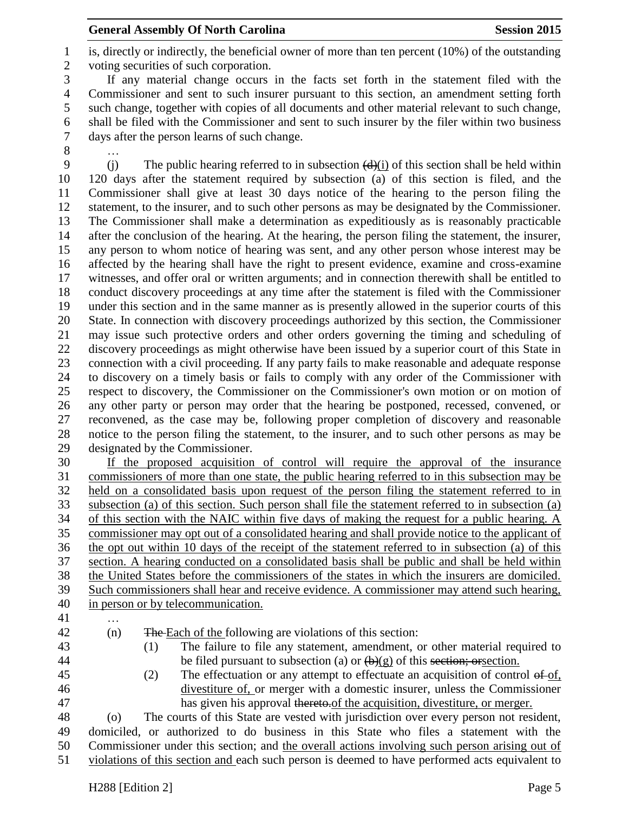is, directly or indirectly, the beneficial owner of more than ten percent (10%) of the outstanding voting securities of such corporation.

 If any material change occurs in the facts set forth in the statement filed with the Commissioner and sent to such insurer pursuant to this section, an amendment setting forth such change, together with copies of all documents and other material relevant to such change, shall be filed with the Commissioner and sent to such insurer by the filer within two business days after the person learns of such change.

…

9 (i) The public hearing referred to in subsection  $(d)(i)$  of this section shall be held within 120 days after the statement required by subsection (a) of this section is filed, and the Commissioner shall give at least 30 days notice of the hearing to the person filing the statement, to the insurer, and to such other persons as may be designated by the Commissioner. The Commissioner shall make a determination as expeditiously as is reasonably practicable after the conclusion of the hearing. At the hearing, the person filing the statement, the insurer, any person to whom notice of hearing was sent, and any other person whose interest may be affected by the hearing shall have the right to present evidence, examine and cross-examine witnesses, and offer oral or written arguments; and in connection therewith shall be entitled to conduct discovery proceedings at any time after the statement is filed with the Commissioner under this section and in the same manner as is presently allowed in the superior courts of this State. In connection with discovery proceedings authorized by this section, the Commissioner may issue such protective orders and other orders governing the timing and scheduling of discovery proceedings as might otherwise have been issued by a superior court of this State in connection with a civil proceeding. If any party fails to make reasonable and adequate response to discovery on a timely basis or fails to comply with any order of the Commissioner with respect to discovery, the Commissioner on the Commissioner's own motion or on motion of any other party or person may order that the hearing be postponed, recessed, convened, or reconvened, as the case may be, following proper completion of discovery and reasonable notice to the person filing the statement, to the insurer, and to such other persons as may be designated by the Commissioner.

 If the proposed acquisition of control will require the approval of the insurance commissioners of more than one state, the public hearing referred to in this subsection may be held on a consolidated basis upon request of the person filing the statement referred to in subsection (a) of this section. Such person shall file the statement referred to in subsection (a) of this section with the NAIC within five days of making the request for a public hearing. A commissioner may opt out of a consolidated hearing and shall provide notice to the applicant of the opt out within 10 days of the receipt of the statement referred to in subsection (a) of this section. A hearing conducted on a consolidated basis shall be public and shall be held within the United States before the commissioners of the states in which the insurers are domiciled. Such commissioners shall hear and receive evidence. A commissioner may attend such hearing, in person or by telecommunication.

- …
- 42 (n) The Each of the following are violations of this section:
- 

 (1) The failure to file any statement, amendment, or other material required to 44 be filed pursuant to subsection (a) or  $(b)(g)$  of this section; or section.

45 (2) The effectuation or any attempt to effectuate an acquisition of control  $\theta$ form- divestiture of, or merger with a domestic insurer, unless the Commissioner 47 has given his approval thereto. of the acquisition, divestiture, or merger.

 (o) The courts of this State are vested with jurisdiction over every person not resident, domiciled, or authorized to do business in this State who files a statement with the Commissioner under this section; and the overall actions involving such person arising out of violations of this section and each such person is deemed to have performed acts equivalent to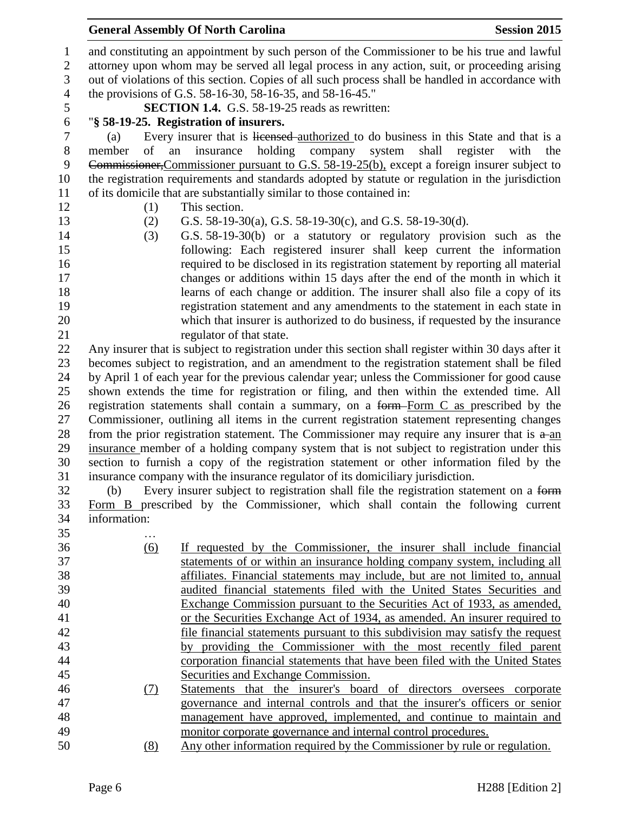and constituting an appointment by such person of the Commissioner to be his true and lawful attorney upon whom may be served all legal process in any action, suit, or proceeding arising out of violations of this section. Copies of all such process shall be handled in accordance with the provisions of G.S. 58-16-30, 58-16-35, and 58-16-45."

**SECTION 1.4.** G.S. 58-19-25 reads as rewritten:

# "**§ 58-19-25. Registration of insurers.**

(a) Every insurer that is licensed-authorized to do business in this State and that is a member of an insurance holding company system shall register with the Commissioner,Commissioner pursuant to G.S. 58-19-25(b), except a foreign insurer subject to the registration requirements and standards adopted by statute or regulation in the jurisdiction of its domicile that are substantially similar to those contained in:

- 
- (1) This section.
- 
- (2) G.S. 58-19-30(a), G.S. 58-19-30(c), and G.S. 58-19-30(d).
- (3) G.S. 58-19-30(b) or a statutory or regulatory provision such as the following: Each registered insurer shall keep current the information required to be disclosed in its registration statement by reporting all material changes or additions within 15 days after the end of the month in which it learns of each change or addition. The insurer shall also file a copy of its registration statement and any amendments to the statement in each state in which that insurer is authorized to do business, if requested by the insurance 21 regulator of that state.

 Any insurer that is subject to registration under this section shall register within 30 days after it becomes subject to registration, and an amendment to the registration statement shall be filed by April 1 of each year for the previous calendar year; unless the Commissioner for good cause shown extends the time for registration or filing, and then within the extended time. All registration statements shall contain a summary, on a form Form C as prescribed by the Commissioner, outlining all items in the current registration statement representing changes 28 from the prior registration statement. The Commissioner may require any insurer that is  $a$ -an insurance member of a holding company system that is not subject to registration under this section to furnish a copy of the registration statement or other information filed by the insurance company with the insurance regulator of its domiciliary jurisdiction.

 (b) Every insurer subject to registration shall file the registration statement on a form Form B prescribed by the Commissioner, which shall contain the following current information:

- … (6) If requested by the Commissioner, the insurer shall include financial statements of or within an insurance holding company system, including all affiliates. Financial statements may include, but are not limited to, annual audited financial statements filed with the United States Securities and Exchange Commission pursuant to the Securities Act of 1933, as amended, or the Securities Exchange Act of 1934, as amended. An insurer required to file financial statements pursuant to this subdivision may satisfy the request by providing the Commissioner with the most recently filed parent corporation financial statements that have been filed with the United States Securities and Exchange Commission. (7) Statements that the insurer's board of directors oversees corporate governance and internal controls and that the insurer's officers or senior management have approved, implemented, and continue to maintain and monitor corporate governance and internal control procedures.
- (8) Any other information required by the Commissioner by rule or regulation.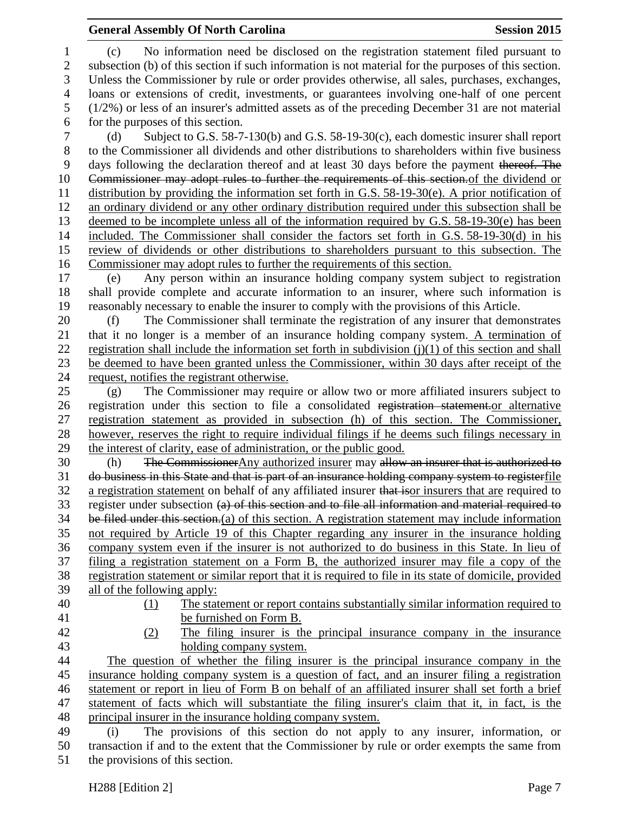(c) No information need be disclosed on the registration statement filed pursuant to subsection (b) of this section if such information is not material for the purposes of this section. Unless the Commissioner by rule or order provides otherwise, all sales, purchases, exchanges, loans or extensions of credit, investments, or guarantees involving one-half of one percent (1/2%) or less of an insurer's admitted assets as of the preceding December 31 are not material for the purposes of this section. (d) Subject to G.S. 58-7-130(b) and G.S. 58-19-30(c), each domestic insurer shall report to the Commissioner all dividends and other distributions to shareholders within five business days following the declaration thereof and at least 30 days before the payment thereof. The Commissioner may adopt rules to further the requirements of this section.of the dividend or distribution by providing the information set forth in G.S. 58-19-30(e). A prior notification of an ordinary dividend or any other ordinary distribution required under this subsection shall be deemed to be incomplete unless all of the information required by G.S. 58-19-30(e) has been included. The Commissioner shall consider the factors set forth in G.S. 58-19-30(d) in his review of dividends or other distributions to shareholders pursuant to this subsection. The Commissioner may adopt rules to further the requirements of this section. (e) Any person within an insurance holding company system subject to registration shall provide complete and accurate information to an insurer, where such information is reasonably necessary to enable the insurer to comply with the provisions of this Article. (f) The Commissioner shall terminate the registration of any insurer that demonstrates that it no longer is a member of an insurance holding company system. A termination of 22 registration shall include the information set forth in subdivision  $(j)(1)$  of this section and shall be deemed to have been granted unless the Commissioner, within 30 days after receipt of the request, notifies the registrant otherwise. (g) The Commissioner may require or allow two or more affiliated insurers subject to registration under this section to file a consolidated registration statement.or alternative registration statement as provided in subsection (h) of this section. The Commissioner, however, reserves the right to require individual filings if he deems such filings necessary in the interest of clarity, ease of administration, or the public good. (h) The CommissionerAny authorized insurer may allow an insurer that is authorized to do business in this State and that is part of an insurance holding company system to registerfile a registration statement on behalf of any affiliated insurer that isor insurers that are required to 33 register under subsection  $(a)$  of this section and to file all information and material required to be filed under this section.(a) of this section. A registration statement may include information not required by Article 19 of this Chapter regarding any insurer in the insurance holding company system even if the insurer is not authorized to do business in this State. In lieu of filing a registration statement on a Form B, the authorized insurer may file a copy of the registration statement or similar report that it is required to file in its state of domicile, provided all of the following apply: (1) The statement or report contains substantially similar information required to be furnished on Form B. (2) The filing insurer is the principal insurance company in the insurance holding company system. The question of whether the filing insurer is the principal insurance company in the insurance holding company system is a question of fact, and an insurer filing a registration statement or report in lieu of Form B on behalf of an affiliated insurer shall set forth a brief statement of facts which will substantiate the filing insurer's claim that it, in fact, is the principal insurer in the insurance holding company system. (i) The provisions of this section do not apply to any insurer, information, or transaction if and to the extent that the Commissioner by rule or order exempts the same from

the provisions of this section.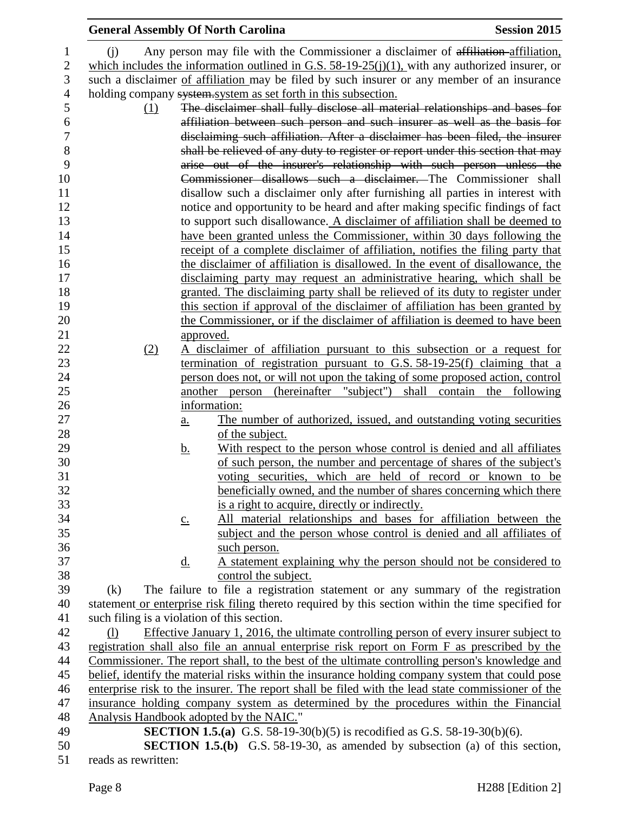|     | <b>General Assembly Of North Carolina</b>   |                   |                                                                |                         |  | <b>Session 2015</b>                                                                                |
|-----|---------------------------------------------|-------------------|----------------------------------------------------------------|-------------------------|--|----------------------------------------------------------------------------------------------------|
| (i) |                                             |                   |                                                                |                         |  | Any person may file with the Commissioner a disclaimer of affiliation-affiliation,                 |
|     |                                             |                   |                                                                |                         |  | which includes the information outlined in G.S. $58-19-25(j)(1)$ , with any authorized insurer, or |
|     |                                             |                   |                                                                |                         |  | such a disclaimer of affiliation may be filed by such insurer or any member of an insurance        |
|     |                                             |                   | holding company system system as set forth in this subsection. |                         |  |                                                                                                    |
|     | (1)                                         |                   |                                                                |                         |  | The disclaimer shall fully disclose all material relationships and bases for                       |
|     |                                             |                   |                                                                |                         |  | affiliation between such person and such insurer as well as the basis for                          |
|     |                                             |                   |                                                                |                         |  | disclaiming such affiliation. After a disclaimer has been filed, the insurer                       |
|     |                                             |                   |                                                                |                         |  | shall be relieved of any duty to register or report under this section that may                    |
|     |                                             |                   |                                                                |                         |  | arise out of the insurer's relationship with such person unless the                                |
|     |                                             |                   |                                                                |                         |  | Commissioner disallows such a disclaimer. The Commissioner shall                                   |
|     |                                             |                   |                                                                |                         |  | disallow such a disclaimer only after furnishing all parties in interest with                      |
|     |                                             |                   |                                                                |                         |  | notice and opportunity to be heard and after making specific findings of fact                      |
|     |                                             |                   |                                                                |                         |  | to support such disallowance. A disclaimer of affiliation shall be deemed to                       |
|     |                                             |                   |                                                                |                         |  | have been granted unless the Commissioner, within 30 days following the                            |
|     |                                             |                   |                                                                |                         |  | receipt of a complete disclaimer of affiliation, notifies the filing party that                    |
|     |                                             |                   |                                                                |                         |  | the disclaimer of affiliation is disallowed. In the event of disallowance, the                     |
|     |                                             |                   |                                                                |                         |  | disclaiming party may request an administrative hearing, which shall be                            |
|     |                                             |                   |                                                                |                         |  | granted. The disclaiming party shall be relieved of its duty to register under                     |
|     |                                             |                   |                                                                |                         |  | this section if approval of the disclaimer of affiliation has been granted by                      |
|     |                                             |                   |                                                                |                         |  | the Commissioner, or if the disclaimer of affiliation is deemed to have been                       |
|     |                                             | approved.         |                                                                |                         |  |                                                                                                    |
|     | (2)                                         |                   |                                                                |                         |  | A disclaimer of affiliation pursuant to this subsection or a request for                           |
|     |                                             |                   |                                                                |                         |  | termination of registration pursuant to G.S. $58-19-25(f)$ claiming that a                         |
|     |                                             |                   |                                                                |                         |  | person does not, or will not upon the taking of some proposed action, control                      |
|     |                                             | another person    |                                                                | (hereinafter "subject") |  | shall contain the following                                                                        |
|     |                                             | information:      |                                                                |                         |  |                                                                                                    |
|     |                                             | $\underline{a}$ . |                                                                |                         |  | The number of authorized, issued, and outstanding voting securities                                |
|     |                                             |                   | of the subject.                                                |                         |  |                                                                                                    |
|     |                                             | <u>b.</u>         |                                                                |                         |  | With respect to the person whose control is denied and all affiliates                              |
|     |                                             |                   |                                                                |                         |  | of such person, the number and percentage of shares of the subject's                               |
|     |                                             |                   |                                                                |                         |  | voting securities, which are held of record or known to be                                         |
|     |                                             |                   |                                                                |                         |  | beneficially owned, and the number of shares concerning which there                                |
|     |                                             |                   | is a right to acquire, directly or indirectly.                 |                         |  |                                                                                                    |
|     |                                             | $\underline{c}$ . |                                                                |                         |  | All material relationships and bases for affiliation between the                                   |
|     |                                             |                   |                                                                |                         |  | subject and the person whose control is denied and all affiliates of                               |
|     |                                             |                   | such person.                                                   |                         |  |                                                                                                    |
|     |                                             | <u>d.</u>         |                                                                |                         |  | A statement explaining why the person should not be considered to                                  |
|     |                                             |                   | control the subject.                                           |                         |  |                                                                                                    |
|     | (k)                                         |                   |                                                                |                         |  | The failure to file a registration statement or any summary of the registration                    |
|     |                                             |                   |                                                                |                         |  | statement or enterprise risk filing thereto required by this section within the time specified for |
|     | such filing is a violation of this section. |                   |                                                                |                         |  |                                                                                                    |
| (1) |                                             |                   |                                                                |                         |  | Effective January 1, 2016, the ultimate controlling person of every insurer subject to             |
|     |                                             |                   |                                                                |                         |  | registration shall also file an annual enterprise risk report on Form F as prescribed by the       |
|     |                                             |                   |                                                                |                         |  | Commissioner. The report shall, to the best of the ultimate controlling person's knowledge and     |
|     |                                             |                   |                                                                |                         |  | belief, identify the material risks within the insurance holding company system that could pose    |
|     |                                             |                   |                                                                |                         |  | enterprise risk to the insurer. The report shall be filed with the lead state commissioner of the  |
|     |                                             |                   |                                                                |                         |  | insurance holding company system as determined by the procedures within the Financial              |
|     |                                             |                   | Analysis Handbook adopted by the NAIC."                        |                         |  |                                                                                                    |
|     |                                             |                   |                                                                |                         |  | <b>SECTION 1.5.(a)</b> G.S. 58-19-30(b)(5) is recodified as G.S. 58-19-30(b)(6).                   |
|     |                                             |                   |                                                                |                         |  | <b>SECTION 1.5.(b)</b> G.S. 58-19-30, as amended by subsection (a) of this section,                |
|     | reads as rewritten:                         |                   |                                                                |                         |  |                                                                                                    |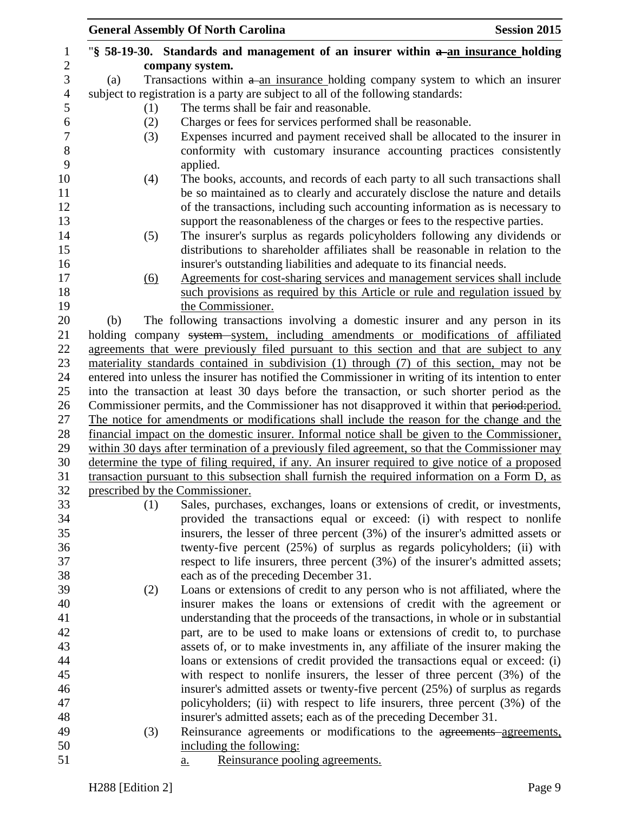|     |     | <b>General Assembly Of North Carolina</b><br><b>Session 2015</b>                                   |
|-----|-----|----------------------------------------------------------------------------------------------------|
|     |     | "§ 58-19-30. Standards and management of an insurer within a-an insurance holding                  |
|     |     | company system.                                                                                    |
| (a) |     | Transactions within $a$ -an insurance holding company system to which an insurer                   |
|     |     | subject to registration is a party are subject to all of the following standards:                  |
|     | (1) | The terms shall be fair and reasonable.                                                            |
|     | (2) | Charges or fees for services performed shall be reasonable.                                        |
|     | (3) | Expenses incurred and payment received shall be allocated to the insurer in                        |
|     |     | conformity with customary insurance accounting practices consistently                              |
|     |     | applied.                                                                                           |
|     | (4) | The books, accounts, and records of each party to all such transactions shall                      |
|     |     | be so maintained as to clearly and accurately disclose the nature and details                      |
|     |     | of the transactions, including such accounting information as is necessary to                      |
|     |     | support the reasonableness of the charges or fees to the respective parties.                       |
|     | (5) | The insurer's surplus as regards policyholders following any dividends or                          |
|     |     | distributions to shareholder affiliates shall be reasonable in relation to the                     |
|     |     | insurer's outstanding liabilities and adequate to its financial needs.                             |
|     | (6) | Agreements for cost-sharing services and management services shall include                         |
|     |     | such provisions as required by this Article or rule and regulation issued by                       |
|     |     | the Commissioner.                                                                                  |
| (b) |     | The following transactions involving a domestic insurer and any person in its                      |
|     |     | holding company system system, including amendments or modifications of affiliated                 |
|     |     | agreements that were previously filed pursuant to this section and that are subject to any         |
|     |     | materiality standards contained in subdivision (1) through (7) of this section, may not be         |
|     |     | entered into unless the insurer has notified the Commissioner in writing of its intention to enter |
|     |     | into the transaction at least 30 days before the transaction, or such shorter period as the        |
|     |     | Commissioner permits, and the Commissioner has not disapproved it within that period: period.      |
|     |     | The notice for amendments or modifications shall include the reason for the change and the         |
|     |     | financial impact on the domestic insurer. Informal notice shall be given to the Commissioner,      |
|     |     | within 30 days after termination of a previously filed agreement, so that the Commissioner may     |
|     |     | determine the type of filing required, if any. An insurer required to give notice of a proposed    |
|     |     | transaction pursuant to this subsection shall furnish the required information on a Form D, as     |
|     |     | prescribed by the Commissioner.                                                                    |
|     | (1) | Sales, purchases, exchanges, loans or extensions of credit, or investments,                        |
|     |     | provided the transactions equal or exceed: (i) with respect to nonlife                             |
|     |     | insurers, the lesser of three percent (3%) of the insurer's admitted assets or                     |
|     |     | twenty-five percent (25%) of surplus as regards policyholders; (ii) with                           |
|     |     | respect to life insurers, three percent (3%) of the insurer's admitted assets;                     |
|     |     | each as of the preceding December 31.                                                              |
|     | (2) | Loans or extensions of credit to any person who is not affiliated, where the                       |
|     |     | insurer makes the loans or extensions of credit with the agreement or                              |
|     |     | understanding that the proceeds of the transactions, in whole or in substantial                    |
|     |     | part, are to be used to make loans or extensions of credit to, to purchase                         |
|     |     | assets of, or to make investments in, any affiliate of the insurer making the                      |
|     |     | loans or extensions of credit provided the transactions equal or exceed: (i)                       |
|     |     | with respect to nonlife insurers, the lesser of three percent $(3%)$ of the                        |
|     |     | insurer's admitted assets or twenty-five percent (25%) of surplus as regards                       |
|     |     | policyholders; (ii) with respect to life insurers, three percent (3%) of the                       |
|     |     | insurer's admitted assets; each as of the preceding December 31.                                   |
|     | (3) | Reinsurance agreements or modifications to the agreements-agreements,                              |
|     |     | including the following:                                                                           |
|     |     | Reinsurance pooling agreements.<br>$\underline{a}$ .                                               |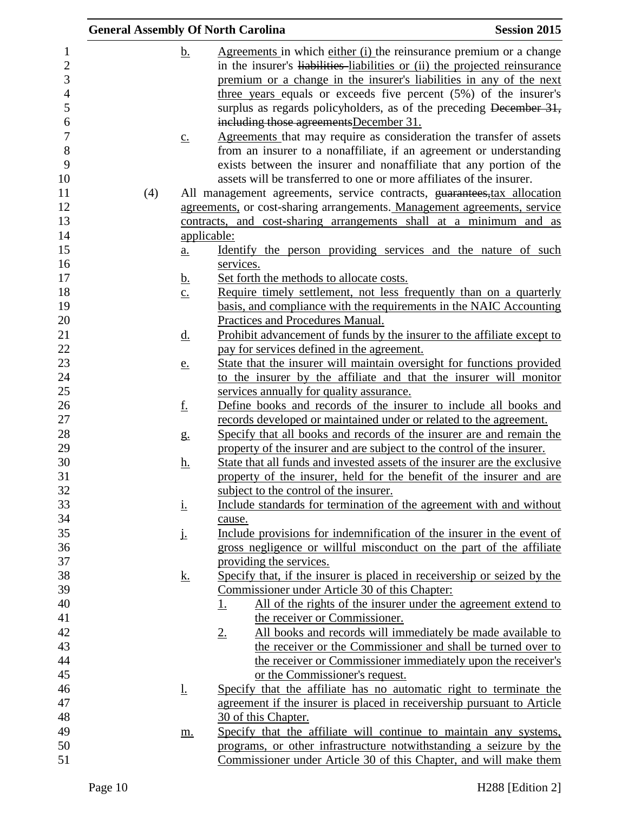|     |                   | <b>General Assembly Of North Carolina</b>                                   | <b>Session 2015</b> |
|-----|-------------------|-----------------------------------------------------------------------------|---------------------|
|     | <u>b.</u>         | Agreements in which either (i) the reinsurance premium or a change          |                     |
|     |                   | in the insurer's liabilities-liabilities or (ii) the projected reinsurance  |                     |
|     |                   | premium or a change in the insurer's liabilities in any of the next         |                     |
|     |                   | three years equals or exceeds five percent (5%) of the insurer's            |                     |
|     |                   | surplus as regards policyholders, as of the preceding December 31,          |                     |
|     |                   | including those agreements December 31.                                     |                     |
|     | $\underline{c}$ . | Agreements that may require as consideration the transfer of assets         |                     |
|     |                   | from an insurer to a nonaffiliate, if an agreement or understanding         |                     |
|     |                   | exists between the insurer and nonaffiliate that any portion of the         |                     |
|     |                   | assets will be transferred to one or more affiliates of the insurer.        |                     |
| (4) |                   | All management agreements, service contracts, guarantees, tax allocation    |                     |
|     |                   | agreements, or cost-sharing arrangements. Management agreements, service    |                     |
|     |                   | contracts, and cost-sharing arrangements shall at a minimum and as          |                     |
|     |                   | applicable:                                                                 |                     |
|     | a.                | Identify the person providing services and the nature of such               |                     |
|     |                   | services.                                                                   |                     |
|     | <u>b.</u>         | Set forth the methods to allocate costs.                                    |                     |
|     | $\underline{c}$ . | Require timely settlement, not less frequently than on a quarterly          |                     |
|     |                   | basis, and compliance with the requirements in the NAIC Accounting          |                     |
|     |                   | Practices and Procedures Manual.                                            |                     |
|     | <u>d.</u>         | Prohibit advancement of funds by the insurer to the affiliate except to     |                     |
|     |                   | pay for services defined in the agreement.                                  |                     |
|     | e.                | State that the insurer will maintain oversight for functions provided       |                     |
|     |                   | to the insurer by the affiliate and that the insurer will monitor           |                     |
|     |                   | services annually for quality assurance.                                    |                     |
|     | <u>f.</u>         | Define books and records of the insurer to include all books and            |                     |
|     |                   | records developed or maintained under or related to the agreement.          |                     |
|     | g <sub>1</sub>    | Specify that all books and records of the insurer are and remain the        |                     |
|     |                   | property of the insurer and are subject to the control of the insurer.      |                     |
|     | <u>h.</u>         | State that all funds and invested assets of the insurer are the exclusive   |                     |
|     |                   | property of the insurer, held for the benefit of the insurer and are        |                     |
|     |                   | subject to the control of the insurer.                                      |                     |
|     | <u>i.</u>         | Include standards for termination of the agreement with and without         |                     |
|     |                   | cause.                                                                      |                     |
|     | <u>j.</u>         | Include provisions for indemnification of the insurer in the event of       |                     |
|     |                   | gross negligence or willful misconduct on the part of the affiliate         |                     |
|     |                   | providing the services.                                                     |                     |
|     | <u>k.</u>         | Specify that, if the insurer is placed in receivership or seized by the     |                     |
|     |                   | Commissioner under Article 30 of this Chapter:                              |                     |
|     |                   | All of the rights of the insurer under the agreement extend to<br><u>1.</u> |                     |
|     |                   | the receiver or Commissioner.                                               |                     |
|     |                   | All books and records will immediately be made available to<br>2.           |                     |
|     |                   | the receiver or the Commissioner and shall be turned over to                |                     |
|     |                   | the receiver or Commissioner immediately upon the receiver's                |                     |
|     |                   | or the Commissioner's request.                                              |                     |
|     | <u>l.</u>         | Specify that the affiliate has no automatic right to terminate the          |                     |
|     |                   | agreement if the insurer is placed in receivership pursuant to Article      |                     |
|     |                   | 30 of this Chapter.                                                         |                     |
|     | m.                | Specify that the affiliate will continue to maintain any systems,           |                     |
|     |                   | programs, or other infrastructure notwithstanding a seizure by the          |                     |
|     |                   | Commissioner under Article 30 of this Chapter, and will make them           |                     |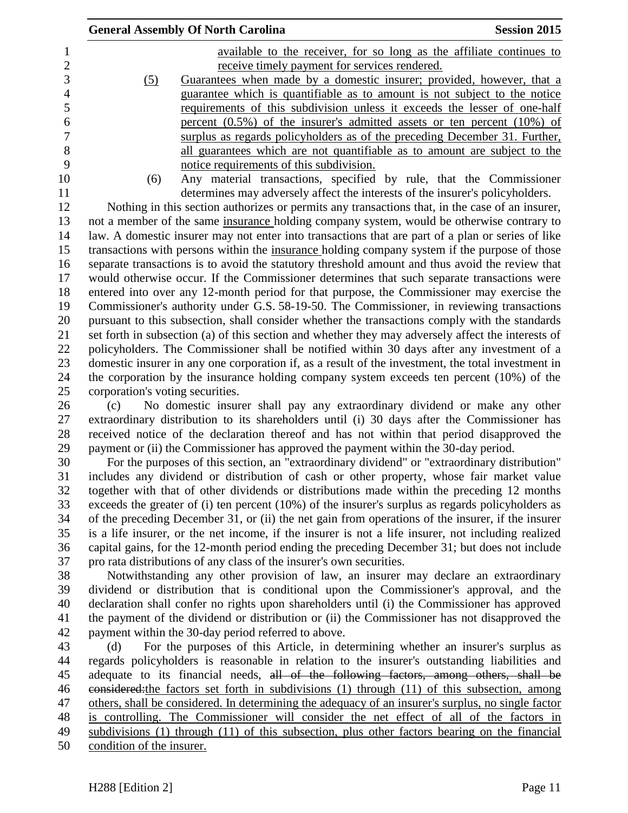|                |                                                                                           | <b>General Assembly Of North Carolina</b>                                                          | <b>Session 2015</b> |  |  |  |
|----------------|-------------------------------------------------------------------------------------------|----------------------------------------------------------------------------------------------------|---------------------|--|--|--|
|                |                                                                                           | available to the receiver, for so long as the affiliate continues to                               |                     |  |  |  |
| $\overline{2}$ |                                                                                           | receive timely payment for services rendered.                                                      |                     |  |  |  |
| 3              | (5)                                                                                       | Guarantees when made by a domestic insurer; provided, however, that a                              |                     |  |  |  |
| 4              |                                                                                           | guarantee which is quantifiable as to amount is not subject to the notice                          |                     |  |  |  |
| 5              |                                                                                           | requirements of this subdivision unless it exceeds the lesser of one-half                          |                     |  |  |  |
| 6              |                                                                                           | percent $(0.5\%)$ of the insurer's admitted assets or ten percent $(10\%)$ of                      |                     |  |  |  |
|                |                                                                                           | surplus as regards policyholders as of the preceding December 31. Further,                         |                     |  |  |  |
| 8              |                                                                                           | all guarantees which are not quantifiable as to amount are subject to the                          |                     |  |  |  |
| 9              |                                                                                           | notice requirements of this subdivision.                                                           |                     |  |  |  |
| 10             | (6)                                                                                       | Any material transactions, specified by rule, that the Commissioner                                |                     |  |  |  |
| 11             |                                                                                           | determines may adversely affect the interests of the insurer's policyholders.                      |                     |  |  |  |
| 12             |                                                                                           | Nothing in this section authorizes or permits any transactions that, in the case of an insurer,    |                     |  |  |  |
| 13             |                                                                                           | not a member of the same insurance holding company system, would be otherwise contrary to          |                     |  |  |  |
| 14             |                                                                                           | law. A domestic insurer may not enter into transactions that are part of a plan or series of like  |                     |  |  |  |
| 15             |                                                                                           | transactions with persons within the insurance holding company system if the purpose of those      |                     |  |  |  |
| 16             |                                                                                           | separate transactions is to avoid the statutory threshold amount and thus avoid the review that    |                     |  |  |  |
| 17             |                                                                                           | would otherwise occur. If the Commissioner determines that such separate transactions were         |                     |  |  |  |
| 18             |                                                                                           | entered into over any 12-month period for that purpose, the Commissioner may exercise the          |                     |  |  |  |
| 19             | Commissioner's authority under G.S. 58-19-50. The Commissioner, in reviewing transactions |                                                                                                    |                     |  |  |  |
| 20             |                                                                                           | pursuant to this subsection, shall consider whether the transactions comply with the standards     |                     |  |  |  |
| 21             |                                                                                           | set forth in subsection (a) of this section and whether they may adversely affect the interests of |                     |  |  |  |
| 22             |                                                                                           | policyholders. The Commissioner shall be notified within 30 days after any investment of a         |                     |  |  |  |

 domestic insurer in any one corporation if, as a result of the investment, the total investment in the corporation by the insurance holding company system exceeds ten percent (10%) of the corporation's voting securities.

 (c) No domestic insurer shall pay any extraordinary dividend or make any other extraordinary distribution to its shareholders until (i) 30 days after the Commissioner has received notice of the declaration thereof and has not within that period disapproved the payment or (ii) the Commissioner has approved the payment within the 30-day period.

 For the purposes of this section, an "extraordinary dividend" or "extraordinary distribution" includes any dividend or distribution of cash or other property, whose fair market value together with that of other dividends or distributions made within the preceding 12 months exceeds the greater of (i) ten percent (10%) of the insurer's surplus as regards policyholders as of the preceding December 31, or (ii) the net gain from operations of the insurer, if the insurer is a life insurer, or the net income, if the insurer is not a life insurer, not including realized capital gains, for the 12-month period ending the preceding December 31; but does not include pro rata distributions of any class of the insurer's own securities.

 Notwithstanding any other provision of law, an insurer may declare an extraordinary dividend or distribution that is conditional upon the Commissioner's approval, and the declaration shall confer no rights upon shareholders until (i) the Commissioner has approved the payment of the dividend or distribution or (ii) the Commissioner has not disapproved the payment within the 30-day period referred to above.

 (d) For the purposes of this Article, in determining whether an insurer's surplus as regards policyholders is reasonable in relation to the insurer's outstanding liabilities and 45 adequate to its financial needs, all of the following factors, among others, shall be considered:the factors set forth in subdivisions (1) through (11) of this subsection, among others, shall be considered. In determining the adequacy of an insurer's surplus, no single factor is controlling. The Commissioner will consider the net effect of all of the factors in subdivisions (1) through (11) of this subsection, plus other factors bearing on the financial condition of the insurer.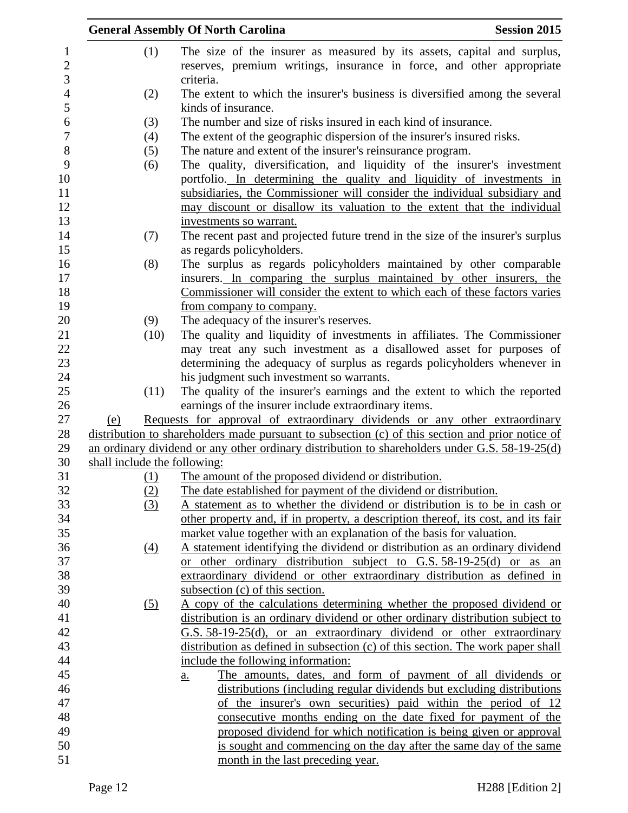|     |      | <b>General Assembly Of North Carolina</b>                                                                                                       | <b>Session 2015</b> |
|-----|------|-------------------------------------------------------------------------------------------------------------------------------------------------|---------------------|
|     | (1)  | The size of the insurer as measured by its assets, capital and surplus,                                                                         |                     |
|     |      | reserves, premium writings, insurance in force, and other appropriate                                                                           |                     |
|     |      | criteria.                                                                                                                                       |                     |
|     | (2)  | The extent to which the insurer's business is diversified among the several                                                                     |                     |
|     |      | kinds of insurance.                                                                                                                             |                     |
|     | (3)  | The number and size of risks insured in each kind of insurance.                                                                                 |                     |
|     | (4)  | The extent of the geographic dispersion of the insurer's insured risks.                                                                         |                     |
|     | (5)  | The nature and extent of the insurer's reinsurance program.                                                                                     |                     |
|     | (6)  | The quality, diversification, and liquidity of the insurer's investment                                                                         |                     |
|     |      | portfolio. In determining the quality and liquidity of investments in                                                                           |                     |
|     |      | subsidiaries, the Commissioner will consider the individual subsidiary and                                                                      |                     |
|     |      | may discount or disallow its valuation to the extent that the individual                                                                        |                     |
|     |      | investments so warrant.                                                                                                                         |                     |
|     | (7)  | The recent past and projected future trend in the size of the insurer's surplus                                                                 |                     |
|     |      | as regards policyholders.                                                                                                                       |                     |
|     | (8)  | The surplus as regards policyholders maintained by other comparable                                                                             |                     |
|     |      | insurers. In comparing the surplus maintained by other insurers, the                                                                            |                     |
|     |      | Commissioner will consider the extent to which each of these factors varies                                                                     |                     |
|     |      | <u>from company to company.</u>                                                                                                                 |                     |
|     | (9)  | The adequacy of the insurer's reserves.                                                                                                         |                     |
|     | (10) | The quality and liquidity of investments in affiliates. The Commissioner                                                                        |                     |
|     |      | may treat any such investment as a disallowed asset for purposes of<br>determining the adequacy of surplus as regards policyholders whenever in |                     |
|     |      | his judgment such investment so warrants.                                                                                                       |                     |
|     | (11) | The quality of the insurer's earnings and the extent to which the reported                                                                      |                     |
|     |      | earnings of the insurer include extraordinary items.                                                                                            |                     |
| (e) |      | Requests for approval of extraordinary dividends or any other extraordinary                                                                     |                     |
|     |      | distribution to shareholders made pursuant to subsection (c) of this section and prior notice of                                                |                     |
|     |      | an ordinary dividend or any other ordinary distribution to shareholders under G.S. 58-19-25(d)                                                  |                     |
|     |      | shall include the following:                                                                                                                    |                     |
|     | (1)  | The amount of the proposed dividend or distribution.                                                                                            |                     |
|     | (2)  | The date established for payment of the dividend or distribution.                                                                               |                     |
|     | (3)  | A statement as to whether the dividend or distribution is to be in cash or                                                                      |                     |
|     |      | other property and, if in property, a description thereof, its cost, and its fair                                                               |                     |
|     |      | market value together with an explanation of the basis for valuation.                                                                           |                     |
|     | (4)  | A statement identifying the dividend or distribution as an ordinary dividend                                                                    |                     |
|     |      | or other ordinary distribution subject to G.S. 58-19-25(d) or as an                                                                             |                     |
|     |      | extraordinary dividend or other extraordinary distribution as defined in                                                                        |                     |
|     |      | subsection (c) of this section.                                                                                                                 |                     |
|     | (5)  | A copy of the calculations determining whether the proposed dividend or                                                                         |                     |
|     |      | distribution is an ordinary dividend or other ordinary distribution subject to                                                                  |                     |
|     |      | G.S. 58-19-25(d), or an extraordinary dividend or other extraordinary                                                                           |                     |
|     |      | distribution as defined in subsection (c) of this section. The work paper shall                                                                 |                     |
|     |      | include the following information:                                                                                                              |                     |
|     |      | The amounts, dates, and form of payment of all dividends or<br><u>a.</u>                                                                        |                     |
|     |      | distributions (including regular dividends but excluding distributions                                                                          |                     |
|     |      | of the insurer's own securities) paid within the period of 12                                                                                   |                     |
|     |      | consecutive months ending on the date fixed for payment of the                                                                                  |                     |
|     |      | proposed dividend for which notification is being given or approval                                                                             |                     |
|     |      | is sought and commencing on the day after the same day of the same                                                                              |                     |
|     |      | month in the last preceding year.                                                                                                               |                     |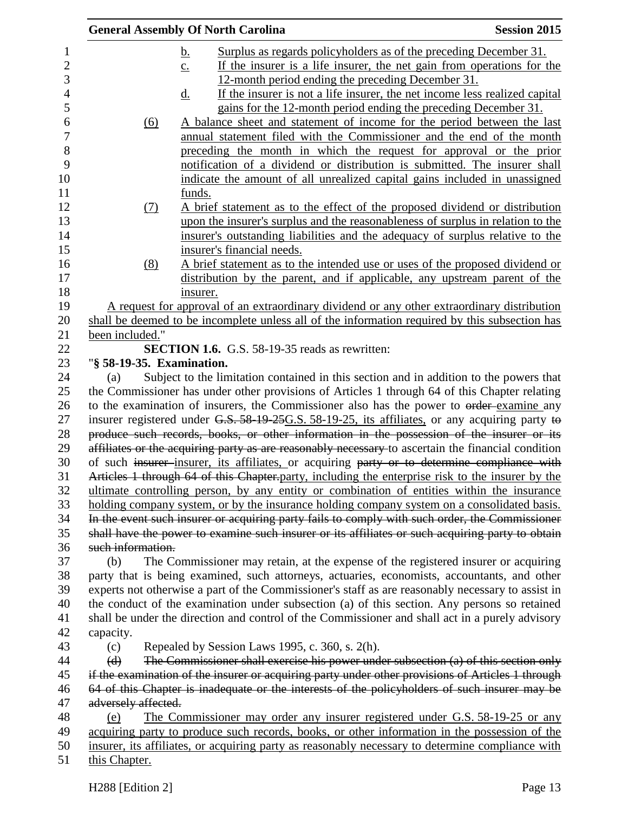| Surplus as regards policyholders as of the preceding December 31.<br>$\mathbf{1}$<br><u>b.</u><br>$\overline{2}$<br>If the insurer is a life insurer, the net gain from operations for the<br>$\underline{c}$ .<br>3<br>12-month period ending the preceding December 31.<br>$\overline{4}$<br>If the insurer is not a life insurer, the net income less realized capital<br><u>d.</u><br>5<br>gains for the 12-month period ending the preceding December 31.<br>6<br>A balance sheet and statement of income for the period between the last<br>(6)<br>$\boldsymbol{7}$<br>annual statement filed with the Commissioner and the end of the month<br>$8\,$<br>preceding the month in which the request for approval or the prior<br>9<br>notification of a dividend or distribution is submitted. The insurer shall<br>10<br>indicate the amount of all unrealized capital gains included in unassigned<br>11<br><u>funds.</u><br>12<br>A brief statement as to the effect of the proposed dividend or distribution<br>(7)<br>upon the insurer's surplus and the reasonableness of surplus in relation to the<br>13<br>insurer's outstanding liabilities and the adequacy of surplus relative to the<br>14<br>15<br>insurer's financial needs.<br>16<br>A brief statement as to the intended use or uses of the proposed dividend or<br>(8)<br>17<br>distribution by the parent, and if applicable, any upstream parent of the<br>18<br>insurer.<br>19<br>A request for approval of an extraordinary dividend or any other extraordinary distribution<br>20<br>shall be deemed to be incomplete unless all of the information required by this subsection has<br>21<br>been included."<br>22<br><b>SECTION 1.6.</b> G.S. 58-19-35 reads as rewritten:<br>23<br>"§ 58-19-35. Examination.<br>24<br>Subject to the limitation contained in this section and in addition to the powers that<br>(a)<br>25<br>the Commissioner has under other provisions of Articles 1 through 64 of this Chapter relating<br>26<br>to the examination of insurers, the Commissioner also has the power to order-examine any<br>27<br>insurer registered under G.S. 58-19-25G.S. 58-19-25, its affiliates, or any acquiring party to<br>produce such records, books, or other information in the possession of the insurer or its<br>28<br>affiliates or the acquiring party as are reasonably necessary to ascertain the financial condition<br>29<br>of such insurer-insurer, its affiliates, or acquiring party or to determine compliance with<br>30<br>31<br>Articles 1 through 64 of this Chapter party, including the enterprise risk to the insurer by the<br>32<br>ultimate controlling person, by any entity or combination of entities within the insurance<br>33<br>holding company system, or by the insurance holding company system on a consolidated basis.<br>In the event such insurer or acquiring party fails to comply with such order, the Commissioner<br>34<br>shall have the power to examine such insurer or its affiliates or such acquiring party to obtain<br>35<br>such information.<br>36<br>The Commissioner may retain, at the expense of the registered insurer or acquiring<br>37<br>(b)<br>38<br>party that is being examined, such attorneys, actuaries, economists, accountants, and other |
|---------------------------------------------------------------------------------------------------------------------------------------------------------------------------------------------------------------------------------------------------------------------------------------------------------------------------------------------------------------------------------------------------------------------------------------------------------------------------------------------------------------------------------------------------------------------------------------------------------------------------------------------------------------------------------------------------------------------------------------------------------------------------------------------------------------------------------------------------------------------------------------------------------------------------------------------------------------------------------------------------------------------------------------------------------------------------------------------------------------------------------------------------------------------------------------------------------------------------------------------------------------------------------------------------------------------------------------------------------------------------------------------------------------------------------------------------------------------------------------------------------------------------------------------------------------------------------------------------------------------------------------------------------------------------------------------------------------------------------------------------------------------------------------------------------------------------------------------------------------------------------------------------------------------------------------------------------------------------------------------------------------------------------------------------------------------------------------------------------------------------------------------------------------------------------------------------------------------------------------------------------------------------------------------------------------------------------------------------------------------------------------------------------------------------------------------------------------------------------------------------------------------------------------------------------------------------------------------------------------------------------------------------------------------------------------------------------------------------------------------------------------------------------------------------------------------------------------------------------------------------------------------------------------------------------------------------------------------------------------------------------------------------------------------------------------------------------------------------------------------------------------------------------------------------------------------------------------------------------------------------------------------------------------------------------------|
|                                                                                                                                                                                                                                                                                                                                                                                                                                                                                                                                                                                                                                                                                                                                                                                                                                                                                                                                                                                                                                                                                                                                                                                                                                                                                                                                                                                                                                                                                                                                                                                                                                                                                                                                                                                                                                                                                                                                                                                                                                                                                                                                                                                                                                                                                                                                                                                                                                                                                                                                                                                                                                                                                                                                                                                                                                                                                                                                                                                                                                                                                                                                                                                                                                                                                                               |
|                                                                                                                                                                                                                                                                                                                                                                                                                                                                                                                                                                                                                                                                                                                                                                                                                                                                                                                                                                                                                                                                                                                                                                                                                                                                                                                                                                                                                                                                                                                                                                                                                                                                                                                                                                                                                                                                                                                                                                                                                                                                                                                                                                                                                                                                                                                                                                                                                                                                                                                                                                                                                                                                                                                                                                                                                                                                                                                                                                                                                                                                                                                                                                                                                                                                                                               |
|                                                                                                                                                                                                                                                                                                                                                                                                                                                                                                                                                                                                                                                                                                                                                                                                                                                                                                                                                                                                                                                                                                                                                                                                                                                                                                                                                                                                                                                                                                                                                                                                                                                                                                                                                                                                                                                                                                                                                                                                                                                                                                                                                                                                                                                                                                                                                                                                                                                                                                                                                                                                                                                                                                                                                                                                                                                                                                                                                                                                                                                                                                                                                                                                                                                                                                               |
|                                                                                                                                                                                                                                                                                                                                                                                                                                                                                                                                                                                                                                                                                                                                                                                                                                                                                                                                                                                                                                                                                                                                                                                                                                                                                                                                                                                                                                                                                                                                                                                                                                                                                                                                                                                                                                                                                                                                                                                                                                                                                                                                                                                                                                                                                                                                                                                                                                                                                                                                                                                                                                                                                                                                                                                                                                                                                                                                                                                                                                                                                                                                                                                                                                                                                                               |
|                                                                                                                                                                                                                                                                                                                                                                                                                                                                                                                                                                                                                                                                                                                                                                                                                                                                                                                                                                                                                                                                                                                                                                                                                                                                                                                                                                                                                                                                                                                                                                                                                                                                                                                                                                                                                                                                                                                                                                                                                                                                                                                                                                                                                                                                                                                                                                                                                                                                                                                                                                                                                                                                                                                                                                                                                                                                                                                                                                                                                                                                                                                                                                                                                                                                                                               |
|                                                                                                                                                                                                                                                                                                                                                                                                                                                                                                                                                                                                                                                                                                                                                                                                                                                                                                                                                                                                                                                                                                                                                                                                                                                                                                                                                                                                                                                                                                                                                                                                                                                                                                                                                                                                                                                                                                                                                                                                                                                                                                                                                                                                                                                                                                                                                                                                                                                                                                                                                                                                                                                                                                                                                                                                                                                                                                                                                                                                                                                                                                                                                                                                                                                                                                               |
|                                                                                                                                                                                                                                                                                                                                                                                                                                                                                                                                                                                                                                                                                                                                                                                                                                                                                                                                                                                                                                                                                                                                                                                                                                                                                                                                                                                                                                                                                                                                                                                                                                                                                                                                                                                                                                                                                                                                                                                                                                                                                                                                                                                                                                                                                                                                                                                                                                                                                                                                                                                                                                                                                                                                                                                                                                                                                                                                                                                                                                                                                                                                                                                                                                                                                                               |
|                                                                                                                                                                                                                                                                                                                                                                                                                                                                                                                                                                                                                                                                                                                                                                                                                                                                                                                                                                                                                                                                                                                                                                                                                                                                                                                                                                                                                                                                                                                                                                                                                                                                                                                                                                                                                                                                                                                                                                                                                                                                                                                                                                                                                                                                                                                                                                                                                                                                                                                                                                                                                                                                                                                                                                                                                                                                                                                                                                                                                                                                                                                                                                                                                                                                                                               |
|                                                                                                                                                                                                                                                                                                                                                                                                                                                                                                                                                                                                                                                                                                                                                                                                                                                                                                                                                                                                                                                                                                                                                                                                                                                                                                                                                                                                                                                                                                                                                                                                                                                                                                                                                                                                                                                                                                                                                                                                                                                                                                                                                                                                                                                                                                                                                                                                                                                                                                                                                                                                                                                                                                                                                                                                                                                                                                                                                                                                                                                                                                                                                                                                                                                                                                               |
|                                                                                                                                                                                                                                                                                                                                                                                                                                                                                                                                                                                                                                                                                                                                                                                                                                                                                                                                                                                                                                                                                                                                                                                                                                                                                                                                                                                                                                                                                                                                                                                                                                                                                                                                                                                                                                                                                                                                                                                                                                                                                                                                                                                                                                                                                                                                                                                                                                                                                                                                                                                                                                                                                                                                                                                                                                                                                                                                                                                                                                                                                                                                                                                                                                                                                                               |
|                                                                                                                                                                                                                                                                                                                                                                                                                                                                                                                                                                                                                                                                                                                                                                                                                                                                                                                                                                                                                                                                                                                                                                                                                                                                                                                                                                                                                                                                                                                                                                                                                                                                                                                                                                                                                                                                                                                                                                                                                                                                                                                                                                                                                                                                                                                                                                                                                                                                                                                                                                                                                                                                                                                                                                                                                                                                                                                                                                                                                                                                                                                                                                                                                                                                                                               |
|                                                                                                                                                                                                                                                                                                                                                                                                                                                                                                                                                                                                                                                                                                                                                                                                                                                                                                                                                                                                                                                                                                                                                                                                                                                                                                                                                                                                                                                                                                                                                                                                                                                                                                                                                                                                                                                                                                                                                                                                                                                                                                                                                                                                                                                                                                                                                                                                                                                                                                                                                                                                                                                                                                                                                                                                                                                                                                                                                                                                                                                                                                                                                                                                                                                                                                               |
|                                                                                                                                                                                                                                                                                                                                                                                                                                                                                                                                                                                                                                                                                                                                                                                                                                                                                                                                                                                                                                                                                                                                                                                                                                                                                                                                                                                                                                                                                                                                                                                                                                                                                                                                                                                                                                                                                                                                                                                                                                                                                                                                                                                                                                                                                                                                                                                                                                                                                                                                                                                                                                                                                                                                                                                                                                                                                                                                                                                                                                                                                                                                                                                                                                                                                                               |
|                                                                                                                                                                                                                                                                                                                                                                                                                                                                                                                                                                                                                                                                                                                                                                                                                                                                                                                                                                                                                                                                                                                                                                                                                                                                                                                                                                                                                                                                                                                                                                                                                                                                                                                                                                                                                                                                                                                                                                                                                                                                                                                                                                                                                                                                                                                                                                                                                                                                                                                                                                                                                                                                                                                                                                                                                                                                                                                                                                                                                                                                                                                                                                                                                                                                                                               |
|                                                                                                                                                                                                                                                                                                                                                                                                                                                                                                                                                                                                                                                                                                                                                                                                                                                                                                                                                                                                                                                                                                                                                                                                                                                                                                                                                                                                                                                                                                                                                                                                                                                                                                                                                                                                                                                                                                                                                                                                                                                                                                                                                                                                                                                                                                                                                                                                                                                                                                                                                                                                                                                                                                                                                                                                                                                                                                                                                                                                                                                                                                                                                                                                                                                                                                               |
| experts not otherwise a part of the Commissioner's staff as are reasonably necessary to assist in                                                                                                                                                                                                                                                                                                                                                                                                                                                                                                                                                                                                                                                                                                                                                                                                                                                                                                                                                                                                                                                                                                                                                                                                                                                                                                                                                                                                                                                                                                                                                                                                                                                                                                                                                                                                                                                                                                                                                                                                                                                                                                                                                                                                                                                                                                                                                                                                                                                                                                                                                                                                                                                                                                                                                                                                                                                                                                                                                                                                                                                                                                                                                                                                             |
| the conduct of the examination under subsection (a) of this section. Any persons so retained                                                                                                                                                                                                                                                                                                                                                                                                                                                                                                                                                                                                                                                                                                                                                                                                                                                                                                                                                                                                                                                                                                                                                                                                                                                                                                                                                                                                                                                                                                                                                                                                                                                                                                                                                                                                                                                                                                                                                                                                                                                                                                                                                                                                                                                                                                                                                                                                                                                                                                                                                                                                                                                                                                                                                                                                                                                                                                                                                                                                                                                                                                                                                                                                                  |
| shall be under the direction and control of the Commissioner and shall act in a purely advisory                                                                                                                                                                                                                                                                                                                                                                                                                                                                                                                                                                                                                                                                                                                                                                                                                                                                                                                                                                                                                                                                                                                                                                                                                                                                                                                                                                                                                                                                                                                                                                                                                                                                                                                                                                                                                                                                                                                                                                                                                                                                                                                                                                                                                                                                                                                                                                                                                                                                                                                                                                                                                                                                                                                                                                                                                                                                                                                                                                                                                                                                                                                                                                                                               |
| capacity.                                                                                                                                                                                                                                                                                                                                                                                                                                                                                                                                                                                                                                                                                                                                                                                                                                                                                                                                                                                                                                                                                                                                                                                                                                                                                                                                                                                                                                                                                                                                                                                                                                                                                                                                                                                                                                                                                                                                                                                                                                                                                                                                                                                                                                                                                                                                                                                                                                                                                                                                                                                                                                                                                                                                                                                                                                                                                                                                                                                                                                                                                                                                                                                                                                                                                                     |
| Repealed by Session Laws 1995, c. 360, s. 2(h).<br>(c)                                                                                                                                                                                                                                                                                                                                                                                                                                                                                                                                                                                                                                                                                                                                                                                                                                                                                                                                                                                                                                                                                                                                                                                                                                                                                                                                                                                                                                                                                                                                                                                                                                                                                                                                                                                                                                                                                                                                                                                                                                                                                                                                                                                                                                                                                                                                                                                                                                                                                                                                                                                                                                                                                                                                                                                                                                                                                                                                                                                                                                                                                                                                                                                                                                                        |
| The Commissioner shall exercise his power under subsection $(a)$ of this section only<br>$\Theta$                                                                                                                                                                                                                                                                                                                                                                                                                                                                                                                                                                                                                                                                                                                                                                                                                                                                                                                                                                                                                                                                                                                                                                                                                                                                                                                                                                                                                                                                                                                                                                                                                                                                                                                                                                                                                                                                                                                                                                                                                                                                                                                                                                                                                                                                                                                                                                                                                                                                                                                                                                                                                                                                                                                                                                                                                                                                                                                                                                                                                                                                                                                                                                                                             |
| if the examination of the insurer or acquiring party under other provisions of Articles 1 through                                                                                                                                                                                                                                                                                                                                                                                                                                                                                                                                                                                                                                                                                                                                                                                                                                                                                                                                                                                                                                                                                                                                                                                                                                                                                                                                                                                                                                                                                                                                                                                                                                                                                                                                                                                                                                                                                                                                                                                                                                                                                                                                                                                                                                                                                                                                                                                                                                                                                                                                                                                                                                                                                                                                                                                                                                                                                                                                                                                                                                                                                                                                                                                                             |
| 64 of this Chapter is inadequate or the interests of the policyholders of such insurer may be                                                                                                                                                                                                                                                                                                                                                                                                                                                                                                                                                                                                                                                                                                                                                                                                                                                                                                                                                                                                                                                                                                                                                                                                                                                                                                                                                                                                                                                                                                                                                                                                                                                                                                                                                                                                                                                                                                                                                                                                                                                                                                                                                                                                                                                                                                                                                                                                                                                                                                                                                                                                                                                                                                                                                                                                                                                                                                                                                                                                                                                                                                                                                                                                                 |
| adversely affected.                                                                                                                                                                                                                                                                                                                                                                                                                                                                                                                                                                                                                                                                                                                                                                                                                                                                                                                                                                                                                                                                                                                                                                                                                                                                                                                                                                                                                                                                                                                                                                                                                                                                                                                                                                                                                                                                                                                                                                                                                                                                                                                                                                                                                                                                                                                                                                                                                                                                                                                                                                                                                                                                                                                                                                                                                                                                                                                                                                                                                                                                                                                                                                                                                                                                                           |
| The Commissioner may order any insurer registered under G.S. 58-19-25 or any<br>(e)                                                                                                                                                                                                                                                                                                                                                                                                                                                                                                                                                                                                                                                                                                                                                                                                                                                                                                                                                                                                                                                                                                                                                                                                                                                                                                                                                                                                                                                                                                                                                                                                                                                                                                                                                                                                                                                                                                                                                                                                                                                                                                                                                                                                                                                                                                                                                                                                                                                                                                                                                                                                                                                                                                                                                                                                                                                                                                                                                                                                                                                                                                                                                                                                                           |
| acquiring party to produce such records, books, or other information in the possession of the                                                                                                                                                                                                                                                                                                                                                                                                                                                                                                                                                                                                                                                                                                                                                                                                                                                                                                                                                                                                                                                                                                                                                                                                                                                                                                                                                                                                                                                                                                                                                                                                                                                                                                                                                                                                                                                                                                                                                                                                                                                                                                                                                                                                                                                                                                                                                                                                                                                                                                                                                                                                                                                                                                                                                                                                                                                                                                                                                                                                                                                                                                                                                                                                                 |
| insurer, its affiliates, or acquiring party as reasonably necessary to determine compliance with<br>this Chapter.                                                                                                                                                                                                                                                                                                                                                                                                                                                                                                                                                                                                                                                                                                                                                                                                                                                                                                                                                                                                                                                                                                                                                                                                                                                                                                                                                                                                                                                                                                                                                                                                                                                                                                                                                                                                                                                                                                                                                                                                                                                                                                                                                                                                                                                                                                                                                                                                                                                                                                                                                                                                                                                                                                                                                                                                                                                                                                                                                                                                                                                                                                                                                                                             |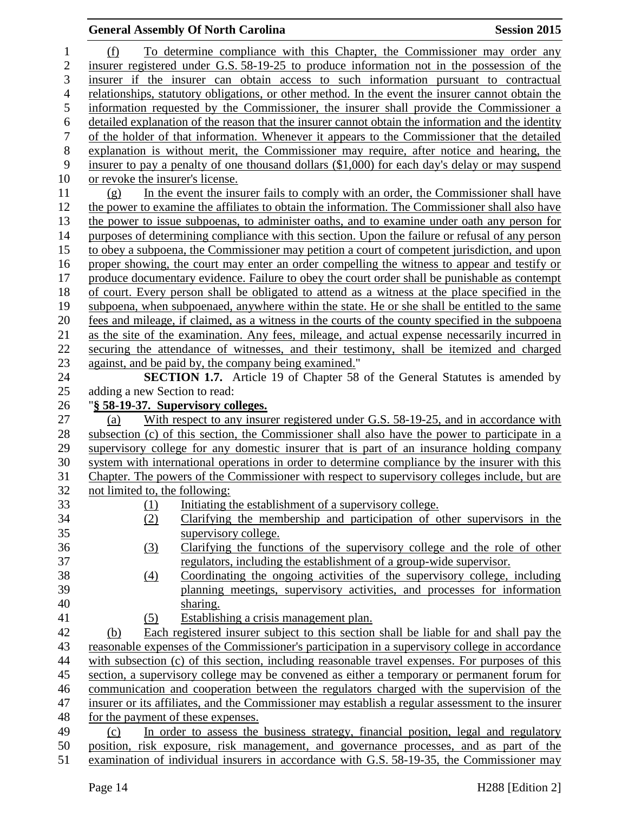| $\mathbf{1}$     | To determine compliance with this Chapter, the Commissioner may order any<br>(f)                   |
|------------------|----------------------------------------------------------------------------------------------------|
| $\overline{2}$   | insurer registered under G.S. 58-19-25 to produce information not in the possession of the         |
| 3                | insurer if the insurer can obtain access to such information pursuant to contractual               |
| $\overline{4}$   | relationships, statutory obligations, or other method. In the event the insurer cannot obtain the  |
| 5                | information requested by the Commissioner, the insurer shall provide the Commissioner a            |
| 6                | detailed explanation of the reason that the insurer cannot obtain the information and the identity |
| $\boldsymbol{7}$ | of the holder of that information. Whenever it appears to the Commissioner that the detailed       |
| 8                | explanation is without merit, the Commissioner may require, after notice and hearing, the          |
| 9                | insurer to pay a penalty of one thousand dollars (\$1,000) for each day's delay or may suspend     |
| 10               | or revoke the insurer's license.                                                                   |
| 11               | In the event the insurer fails to comply with an order, the Commissioner shall have<br>(g)         |
| 12               | the power to examine the affiliates to obtain the information. The Commissioner shall also have    |
| 13               | the power to issue subpoenas, to administer oaths, and to examine under oath any person for        |
| 14               | purposes of determining compliance with this section. Upon the failure or refusal of any person    |
| 15               | to obey a subpoena, the Commissioner may petition a court of competent jurisdiction, and upon      |
| 16               | proper showing, the court may enter an order compelling the witness to appear and testify or       |
| 17               | produce documentary evidence. Failure to obey the court order shall be punishable as contempt      |
| 18               | of court. Every person shall be obligated to attend as a witness at the place specified in the     |
| 19               | subpoena, when subpoenaed, anywhere within the state. He or she shall be entitled to the same      |
| 20               | fees and mileage, if claimed, as a witness in the courts of the county specified in the subpoena   |
| 21               | as the site of the examination. Any fees, mileage, and actual expense necessarily incurred in      |
| 22               | securing the attendance of witnesses, and their testimony, shall be itemized and charged           |
| 23               | against, and be paid by, the company being examined."                                              |
| 24               | <b>SECTION 1.7.</b> Article 19 of Chapter 58 of the General Statutes is amended by                 |
| 25               | adding a new Section to read:                                                                      |
| 26               | "§ 58-19-37. Supervisory colleges.                                                                 |
| 27               | With respect to any insurer registered under G.S. 58-19-25, and in accordance with<br>(a)          |
| 28               | subsection (c) of this section, the Commissioner shall also have the power to participate in a     |
| 29               | supervisory college for any domestic insurer that is part of an insurance holding company          |
| 30               | system with international operations in order to determine compliance by the insurer with this     |
|                  |                                                                                                    |
| 31               | Chapter. The powers of the Commissioner with respect to supervisory colleges include, but are      |
| 32               | not limited to, the following:                                                                     |
| 33               | (1) Initiating the establishment of a supervisory college.                                         |
| 34               | (2)<br>Clarifying the membership and participation of other supervisors in the                     |
| 35               | supervisory college.                                                                               |
| 36               | (3)<br>Clarifying the functions of the supervisory college and the role of other                   |
| 37               | regulators, including the establishment of a group-wide supervisor.                                |
| 38               | Coordinating the ongoing activities of the supervisory college, including<br>$\left(4\right)$      |
| 39               | planning meetings, supervisory activities, and processes for information                           |
| 40               | sharing.                                                                                           |
| 41               | Establishing a crisis management plan.<br>(5)                                                      |
| 42               | Each registered insurer subject to this section shall be liable for and shall pay the<br>(b)       |
| 43               | reasonable expenses of the Commissioner's participation in a supervisory college in accordance     |
| 44               | with subsection (c) of this section, including reasonable travel expenses. For purposes of this    |
| 45               | section, a supervisory college may be convened as either a temporary or permanent forum for        |
| 46               | communication and cooperation between the regulators charged with the supervision of the           |
| 47               | insurer or its affiliates, and the Commissioner may establish a regular assessment to the insurer  |
| 48               | for the payment of these expenses.                                                                 |
| 49               | In order to assess the business strategy, financial position, legal and regulatory<br>(c)          |
| 50               | position, risk exposure, risk management, and governance processes, and as part of the             |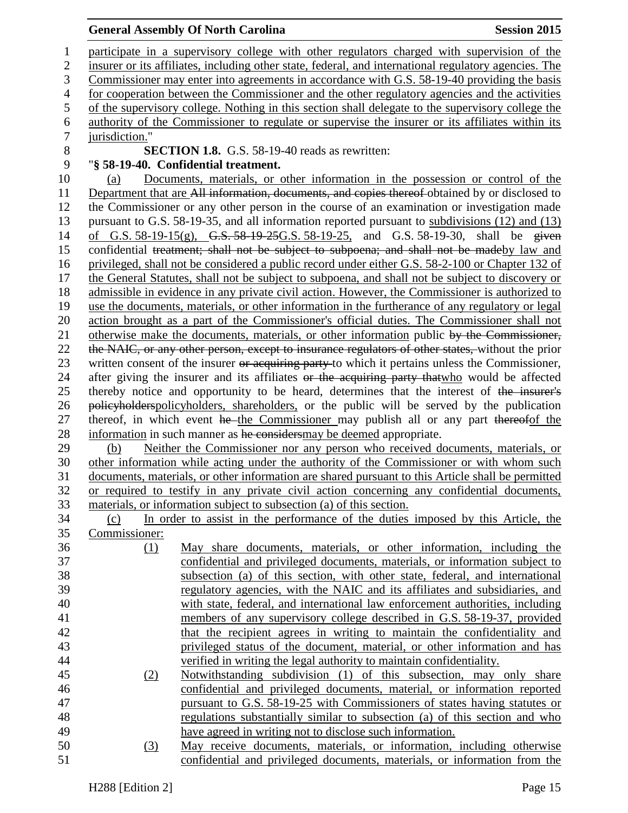participate in a supervisory college with other regulators charged with supervision of the insurer or its affiliates, including other state, federal, and international regulatory agencies. The Commissioner may enter into agreements in accordance with G.S. 58-19-40 providing the basis for cooperation between the Commissioner and the other regulatory agencies and the activities of the supervisory college. Nothing in this section shall delegate to the supervisory college the 6 authority of the Commissioner to regulate or supervise the insurer or its affiliates within its jurisdiction." jurisdiction." **SECTION 1.8.** G.S. 58-19-40 reads as rewritten: "**§ 58-19-40. Confidential treatment.** (a) Documents, materials, or other information in the possession or control of the 11 Department that are All information, documents, and copies thereof obtained by or disclosed to the Commissioner or any other person in the course of an examination or investigation made pursuant to G.S. 58-19-35, and all information reported pursuant to subdivisions (12) and (13) of G.S. 58-19-15(g), G.S. 58-19-25G.S. 58-19-25, and G.S. 58-19-30, shall be given confidential treatment; shall not be subject to subpoena; and shall not be madeby law and privileged, shall not be considered a public record under either G.S. 58-2-100 or Chapter 132 of the General Statutes, shall not be subject to subpoena, and shall not be subject to discovery or admissible in evidence in any private civil action. However, the Commissioner is authorized to use the documents, materials, or other information in the furtherance of any regulatory or legal action brought as a part of the Commissioner's official duties. The Commissioner shall not 21 otherwise make the documents, materials, or other information public by the Commissioner, 22 the NAIC, or any other person, except to insurance regulators of other states, without the prior 23 written consent of the insurer or acquiring party to which it pertains unless the Commissioner, 24 after giving the insurer and its affiliates or the acquiring party that who would be affected 25 thereby notice and opportunity to be heard, determines that the interest of the insurer's policyholderspolicyholders, shareholders, or the public will be served by the publication 27 thereof, in which event he the Commissioner may publish all or any part thereofof the 28 information in such manner as he considers may be deemed appropriate. (b) Neither the Commissioner nor any person who received documents, materials, or other information while acting under the authority of the Commissioner or with whom such documents, materials, or other information are shared pursuant to this Article shall be permitted or required to testify in any private civil action concerning any confidential documents, materials, or information subject to subsection (a) of this section. (c) In order to assist in the performance of the duties imposed by this Article, the Commissioner: (1) May share documents, materials, or other information, including the confidential and privileged documents, materials, or information subject to subsection (a) of this section, with other state, federal, and international regulatory agencies, with the NAIC and its affiliates and subsidiaries, and with state, federal, and international law enforcement authorities, including members of any supervisory college described in G.S. 58-19-37, provided that the recipient agrees in writing to maintain the confidentiality and privileged status of the document, material, or other information and has verified in writing the legal authority to maintain confidentiality. (2) Notwithstanding subdivision (1) of this subsection, may only share confidential and privileged documents, material, or information reported pursuant to G.S. 58-19-25 with Commissioners of states having statutes or regulations substantially similar to subsection (a) of this section and who have agreed in writing not to disclose such information. (3) May receive documents, materials, or information, including otherwise confidential and privileged documents, materials, or information from the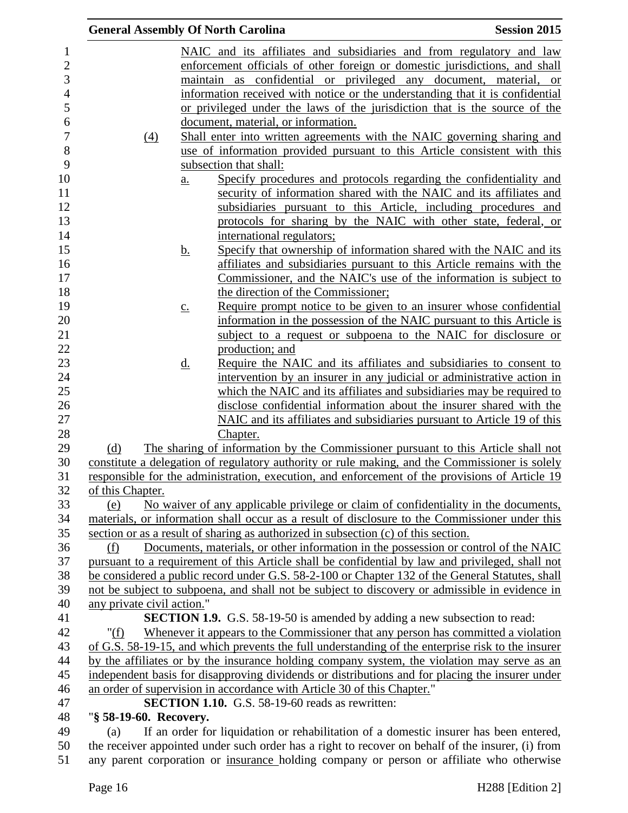| <b>General Assembly Of North Carolina</b> |                   |                                                                                    | <b>Session 2015</b>                                                                               |
|-------------------------------------------|-------------------|------------------------------------------------------------------------------------|---------------------------------------------------------------------------------------------------|
|                                           |                   |                                                                                    | NAIC and its affiliates and subsidiaries and from regulatory and law                              |
|                                           |                   |                                                                                    | enforcement officials of other foreign or domestic jurisdictions, and shall                       |
|                                           |                   |                                                                                    | maintain as confidential or privileged any document, material, or                                 |
|                                           |                   |                                                                                    | information received with notice or the understanding that it is confidential                     |
|                                           |                   |                                                                                    | or privileged under the laws of the jurisdiction that is the source of the                        |
|                                           |                   | document, material, or information.                                                |                                                                                                   |
| $\underline{(4)}$                         |                   |                                                                                    | Shall enter into written agreements with the NAIC governing sharing and                           |
|                                           |                   |                                                                                    | use of information provided pursuant to this Article consistent with this                         |
|                                           |                   | subsection that shall:                                                             |                                                                                                   |
|                                           | a.                |                                                                                    | Specify procedures and protocols regarding the confidentiality and                                |
|                                           |                   |                                                                                    | security of information shared with the NAIC and its affiliates and                               |
|                                           |                   |                                                                                    | subsidiaries pursuant to this Article, including procedures and                                   |
|                                           |                   |                                                                                    | protocols for sharing by the NAIC with other state, federal, or                                   |
|                                           |                   | international regulators;                                                          |                                                                                                   |
|                                           | <u>b.</u>         |                                                                                    | Specify that ownership of information shared with the NAIC and its                                |
|                                           |                   |                                                                                    | affiliates and subsidiaries pursuant to this Article remains with the                             |
|                                           |                   |                                                                                    | Commissioner, and the NAIC's use of the information is subject to                                 |
|                                           |                   | the direction of the Commissioner;                                                 |                                                                                                   |
|                                           | $\underline{c}$ . |                                                                                    | Require prompt notice to be given to an insurer whose confidential                                |
|                                           |                   |                                                                                    | information in the possession of the NAIC pursuant to this Article is                             |
|                                           |                   |                                                                                    | subject to a request or subpoena to the NAIC for disclosure or                                    |
|                                           |                   | production; and                                                                    |                                                                                                   |
|                                           | <u>d.</u>         |                                                                                    | Require the NAIC and its affiliates and subsidiaries to consent to                                |
|                                           |                   |                                                                                    | intervention by an insurer in any judicial or administrative action in                            |
|                                           |                   |                                                                                    | which the NAIC and its affiliates and subsidiaries may be required to                             |
|                                           |                   |                                                                                    | disclose confidential information about the insurer shared with the                               |
|                                           |                   |                                                                                    | NAIC and its affiliates and subsidiaries pursuant to Article 19 of this                           |
|                                           |                   | Chapter.                                                                           | The sharing of information by the Commissioner pursuant to this Article shall not                 |
| (d)                                       |                   |                                                                                    | constitute a delegation of regulatory authority or rule making, and the Commissioner is solely    |
|                                           |                   |                                                                                    | responsible for the administration, execution, and enforcement of the provisions of Article 19    |
| of this Chapter.                          |                   |                                                                                    |                                                                                                   |
| (e)                                       |                   |                                                                                    | No waiver of any applicable privilege or claim of confidentiality in the documents,               |
|                                           |                   |                                                                                    | materials, or information shall occur as a result of disclosure to the Commissioner under this    |
|                                           |                   | section or as a result of sharing as authorized in subsection (c) of this section. |                                                                                                   |
| (f)                                       |                   |                                                                                    | Documents, materials, or other information in the possession or control of the NAIC               |
|                                           |                   |                                                                                    | pursuant to a requirement of this Article shall be confidential by law and privileged, shall not  |
|                                           |                   |                                                                                    | be considered a public record under G.S. 58-2-100 or Chapter 132 of the General Statutes, shall   |
|                                           |                   |                                                                                    | not be subject to subpoena, and shall not be subject to discovery or admissible in evidence in    |
| any private civil action."                |                   |                                                                                    |                                                                                                   |
|                                           |                   | <b>SECTION 1.9.</b> G.S. 58-19-50 is amended by adding a new subsection to read:   |                                                                                                   |
| " $(f)$                                   |                   |                                                                                    | Whenever it appears to the Commissioner that any person has committed a violation                 |
|                                           |                   |                                                                                    | of G.S. 58-19-15, and which prevents the full understanding of the enterprise risk to the insurer |
|                                           |                   |                                                                                    | by the affiliates or by the insurance holding company system, the violation may serve as an       |
|                                           |                   |                                                                                    | independent basis for disapproving dividends or distributions and for placing the insurer under   |
|                                           |                   | an order of supervision in accordance with Article 30 of this Chapter."            |                                                                                                   |
|                                           |                   | <b>SECTION 1.10.</b> G.S. 58-19-60 reads as rewritten:                             |                                                                                                   |
| "§ 58-19-60. Recovery.                    |                   |                                                                                    |                                                                                                   |
| (a)                                       |                   |                                                                                    | If an order for liquidation or rehabilitation of a domestic insurer has been entered,             |
|                                           |                   |                                                                                    | the receiver appointed under such order has a right to recover on behalf of the insurer, (i) from |
|                                           |                   |                                                                                    | any parent corporation or insurance holding company or person or affiliate who otherwise          |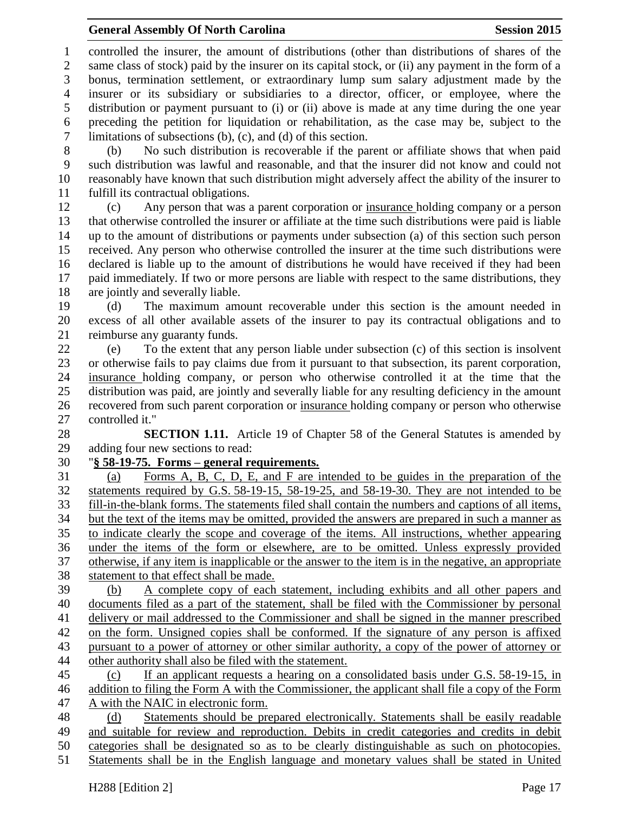controlled the insurer, the amount of distributions (other than distributions of shares of the same class of stock) paid by the insurer on its capital stock, or (ii) any payment in the form of a bonus, termination settlement, or extraordinary lump sum salary adjustment made by the insurer or its subsidiary or subsidiaries to a director, officer, or employee, where the distribution or payment pursuant to (i) or (ii) above is made at any time during the one year preceding the petition for liquidation or rehabilitation, as the case may be, subject to the limitations of subsections (b), (c), and (d) of this section.

 (b) No such distribution is recoverable if the parent or affiliate shows that when paid such distribution was lawful and reasonable, and that the insurer did not know and could not reasonably have known that such distribution might adversely affect the ability of the insurer to fulfill its contractual obligations.

 (c) Any person that was a parent corporation or insurance holding company or a person that otherwise controlled the insurer or affiliate at the time such distributions were paid is liable up to the amount of distributions or payments under subsection (a) of this section such person received. Any person who otherwise controlled the insurer at the time such distributions were declared is liable up to the amount of distributions he would have received if they had been paid immediately. If two or more persons are liable with respect to the same distributions, they are jointly and severally liable.

 (d) The maximum amount recoverable under this section is the amount needed in excess of all other available assets of the insurer to pay its contractual obligations and to reimburse any guaranty funds.

 (e) To the extent that any person liable under subsection (c) of this section is insolvent or otherwise fails to pay claims due from it pursuant to that subsection, its parent corporation, insurance holding company, or person who otherwise controlled it at the time that the distribution was paid, are jointly and severally liable for any resulting deficiency in the amount recovered from such parent corporation or insurance holding company or person who otherwise controlled it."

 **SECTION 1.11.** Article 19 of Chapter 58 of the General Statutes is amended by adding four new sections to read:

"**§ 58-19-75. Forms – general requirements.**

 (a) Forms A, B, C, D, E, and F are intended to be guides in the preparation of the statements required by G.S. 58-19-15, 58-19-25, and 58-19-30. They are not intended to be fill-in-the-blank forms. The statements filed shall contain the numbers and captions of all items, but the text of the items may be omitted, provided the answers are prepared in such a manner as to indicate clearly the scope and coverage of the items. All instructions, whether appearing under the items of the form or elsewhere, are to be omitted. Unless expressly provided otherwise, if any item is inapplicable or the answer to the item is in the negative, an appropriate statement to that effect shall be made.

 (b) A complete copy of each statement, including exhibits and all other papers and documents filed as a part of the statement, shall be filed with the Commissioner by personal delivery or mail addressed to the Commissioner and shall be signed in the manner prescribed on the form. Unsigned copies shall be conformed. If the signature of any person is affixed pursuant to a power of attorney or other similar authority, a copy of the power of attorney or other authority shall also be filed with the statement.

 (c) If an applicant requests a hearing on a consolidated basis under G.S. 58-19-15, in addition to filing the Form A with the Commissioner, the applicant shall file a copy of the Form A with the NAIC in electronic form.

 (d) Statements should be prepared electronically. Statements shall be easily readable and suitable for review and reproduction. Debits in credit categories and credits in debit

categories shall be designated so as to be clearly distinguishable as such on photocopies.

Statements shall be in the English language and monetary values shall be stated in United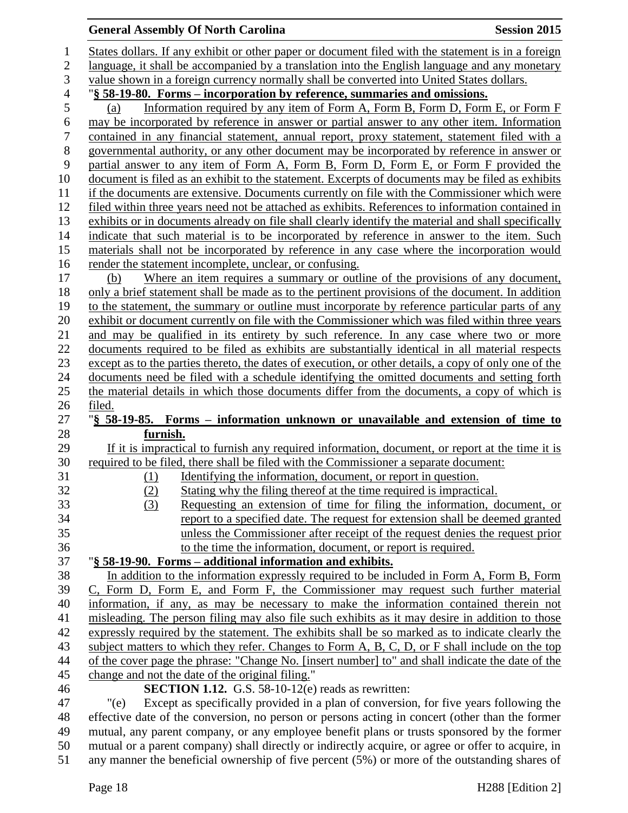#### States dollars. If any exhibit or other paper or document filed with the statement is in a foreign language, it shall be accompanied by a translation into the English language and any monetary value shown in a foreign currency normally shall be converted into United States dollars. "**§ 58-19-80. Forms – incorporation by reference, summaries and omissions.** (a) Information required by any item of Form A, Form B, Form D, Form E, or Form F 6 may be incorporated by reference in answer or partial answer to any other item. Information<br>
6 contained in any financial statement, annual report, proxy statement, statement filed with a contained in any financial statement, annual report, proxy statement, statement filed with a governmental authority, or any other document may be incorporated by reference in answer or partial answer to any item of Form A, Form B, Form D, Form E, or Form F provided the document is filed as an exhibit to the statement. Excerpts of documents may be filed as exhibits if the documents are extensive. Documents currently on file with the Commissioner which were filed within three years need not be attached as exhibits. References to information contained in exhibits or in documents already on file shall clearly identify the material and shall specifically indicate that such material is to be incorporated by reference in answer to the item. Such materials shall not be incorporated by reference in any case where the incorporation would 16 render the statement incomplete, unclear, or confusing. (b) Where an item requires a summary or outline of the provisions of any document, only a brief statement shall be made as to the pertinent provisions of the document. In addition to the statement, the summary or outline must incorporate by reference particular parts of any exhibit or document currently on file with the Commissioner which was filed within three years and may be qualified in its entirety by such reference. In any case where two or more documents required to be filed as exhibits are substantially identical in all material respects except as to the parties thereto, the dates of execution, or other details, a copy of only one of the documents need be filed with a schedule identifying the omitted documents and setting forth the material details in which those documents differ from the documents, a copy of which is filed. "**§ 58-19-85. Forms – information unknown or unavailable and extension of time to furnish.** If it is impractical to furnish any required information, document, or report at the time it is required to be filed, there shall be filed with the Commissioner a separate document: (1) Identifying the information, document, or report in question. (2) Stating why the filing thereof at the time required is impractical. (3) Requesting an extension of time for filing the information, document, or report to a specified date. The request for extension shall be deemed granted unless the Commissioner after receipt of the request denies the request prior to the time the information, document, or report is required. "**§ 58-19-90. Forms – additional information and exhibits.** In addition to the information expressly required to be included in Form A, Form B, Form C, Form D, Form E, and Form F, the Commissioner may request such further material information, if any, as may be necessary to make the information contained therein not misleading. The person filing may also file such exhibits as it may desire in addition to those expressly required by the statement. The exhibits shall be so marked as to indicate clearly the 43 subject matters to which they refer. Changes to Form A, B, C, D, or F shall include on the top of the cover page the phrase: "Change No. [insert number] to" and shall indicate the date of the change and not the date of the original filing." **SECTION 1.12.** G.S. 58-10-12(e) reads as rewritten: "(e) Except as specifically provided in a plan of conversion, for five years following the effective date of the conversion, no person or persons acting in concert (other than the former mutual, any parent company, or any employee benefit plans or trusts sponsored by the former mutual or a parent company) shall directly or indirectly acquire, or agree or offer to acquire, in any manner the beneficial ownership of five percent (5%) or more of the outstanding shares of

**General Assembly Of North Carolina Session 2015**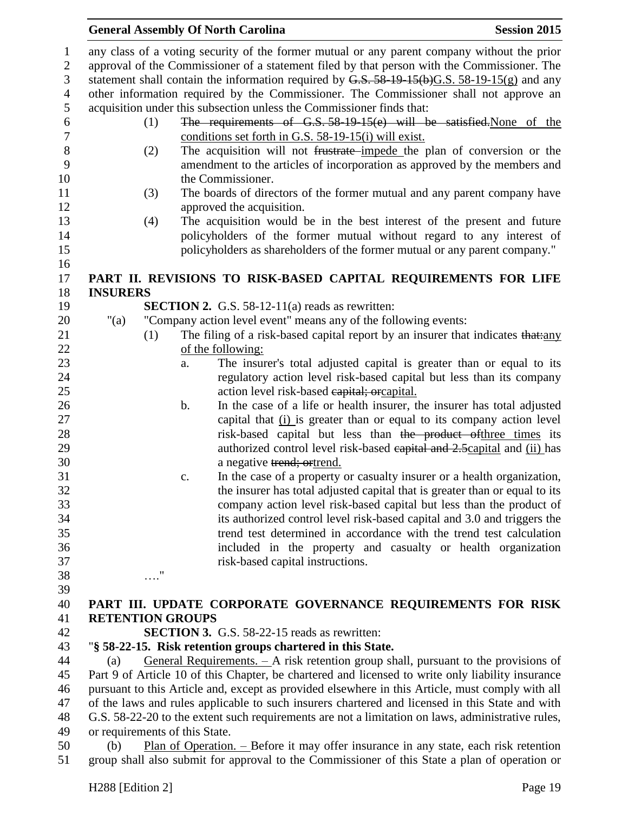#### **General Assembly Of North Carolina Session 2015** any class of a voting security of the former mutual or any parent company without the prior approval of the Commissioner of a statement filed by that person with the Commissioner. The statement shall contain the information required by G.S. 58-19-15(b)G.S. 58-19-15(g) and any other information required by the Commissioner. The Commissioner shall not approve an acquisition under this subsection unless the Commissioner finds that: 6 (1) The requirements of G.S.  $58-19-15(e)$  will be satisfied. None of the conditions set forth in G.S.  $58-19-15(i)$  will exist. conditions set forth in G.S.  $58-19-15(i)$  will exist. (2) The acquisition will not frustrate impede the plan of conversion or the amendment to the articles of incorporation as approved by the members and 10 the Commissioner. (3) The boards of directors of the former mutual and any parent company have 12 approved the acquisition. (4) The acquisition would be in the best interest of the present and future policyholders of the former mutual without regard to any interest of policyholders as shareholders of the former mutual or any parent company." **PART II. REVISIONS TO RISK-BASED CAPITAL REQUIREMENTS FOR LIFE INSURERS SECTION 2.** G.S. 58-12-11(a) reads as rewritten: "(a) "Company action level event" means any of the following events: 21 (1) The filing of a risk-based capital report by an insurer that indicates that: any of the following: a. The insurer's total adjusted capital is greater than or equal to its regulatory action level risk-based capital but less than its company action level risk-based capital; orcapital. b. In the case of a life or health insurer, the insurer has total adjusted capital that (i) is greater than or equal to its company action level 28 risk-based capital but less than the product of three times its 29 authorized control level risk-based capital and 2.5 capital and (ii) has 30 a negative trend; ortrend. c. In the case of a property or casualty insurer or a health organization, the insurer has total adjusted capital that is greater than or equal to its company action level risk-based capital but less than the product of its authorized control level risk-based capital and 3.0 and triggers the trend test determined in accordance with the trend test calculation included in the property and casualty or health organization risk-based capital instructions. …." **PART III. UPDATE CORPORATE GOVERNANCE REQUIREMENTS FOR RISK RETENTION GROUPS SECTION 3.** G.S. 58-22-15 reads as rewritten: "**§ 58-22-15. Risk retention groups chartered in this State.** (a) General Requirements. – A risk retention group shall, pursuant to the provisions of Part 9 of Article 10 of this Chapter, be chartered and licensed to write only liability insurance pursuant to this Article and, except as provided elsewhere in this Article, must comply with all of the laws and rules applicable to such insurers chartered and licensed in this State and with G.S. 58-22-20 to the extent such requirements are not a limitation on laws, administrative rules, or requirements of this State. (b) Plan of Operation. – Before it may offer insurance in any state, each risk retention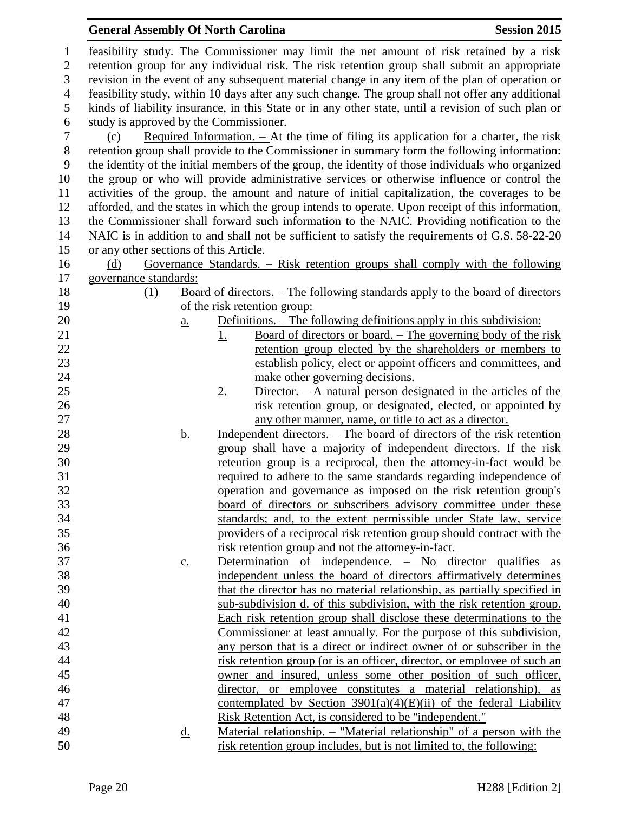feasibility study. The Commissioner may limit the net amount of risk retained by a risk retention group for any individual risk. The risk retention group shall submit an appropriate revision in the event of any subsequent material change in any item of the plan of operation or feasibility study, within 10 days after any such change. The group shall not offer any additional kinds of liability insurance, in this State or in any other state, until a revision of such plan or 6 study is approved by the Commissioner.<br>7 (c) Required Information. – At t  $\overline{c}$  Required Information. – At the time of filing its application for a charter, the risk retention group shall provide to the Commissioner in summary form the following information: the identity of the initial members of the group, the identity of those individuals who organized the group or who will provide administrative services or otherwise influence or control the activities of the group, the amount and nature of initial capitalization, the coverages to be afforded, and the states in which the group intends to operate. Upon receipt of this information, the Commissioner shall forward such information to the NAIC. Providing notification to the NAIC is in addition to and shall not be sufficient to satisfy the requirements of G.S. 58-22-20 or any other sections of this Article. (d) Governance Standards. – Risk retention groups shall comply with the following governance standards: (1) Board of directors. – The following standards apply to the board of directors of the risk retention group: **a.** Definitions. – The following definitions apply in this subdivision: 21 1. Board of directors or board. – The governing body of the risk retention group elected by the shareholders or members to establish policy, elect or appoint officers and committees, and 24 make other governing decisions. 2. Director. – A natural person designated in the articles of the risk retention group, or designated, elected, or appointed by 27 any other manner, name, or title to act as a director. 28 b. Independent directors. – The board of directors of the risk retention group shall have a majority of independent directors. If the risk retention group is a reciprocal, then the attorney-in-fact would be required to adhere to the same standards regarding independence of operation and governance as imposed on the risk retention group's board of directors or subscribers advisory committee under these standards; and, to the extent permissible under State law, service providers of a reciprocal risk retention group should contract with the risk retention group and not the attorney-in-fact. c. Determination of independence. – No director qualifies as independent unless the board of directors affirmatively determines that the director has no material relationship, as partially specified in sub-subdivision d. of this subdivision, with the risk retention group. Each risk retention group shall disclose these determinations to the Commissioner at least annually. For the purpose of this subdivision, any person that is a direct or indirect owner of or subscriber in the risk retention group (or is an officer, director, or employee of such an owner and insured, unless some other position of such officer, director, or employee constitutes a material relationship), as contemplated by Section 3901(a)(4)(E)(ii) of the federal Liability Risk Retention Act, is considered to be ''independent." 49 d. Material relationship. – "Material relationship" of a person with the risk retention group includes, but is not limited to, the following: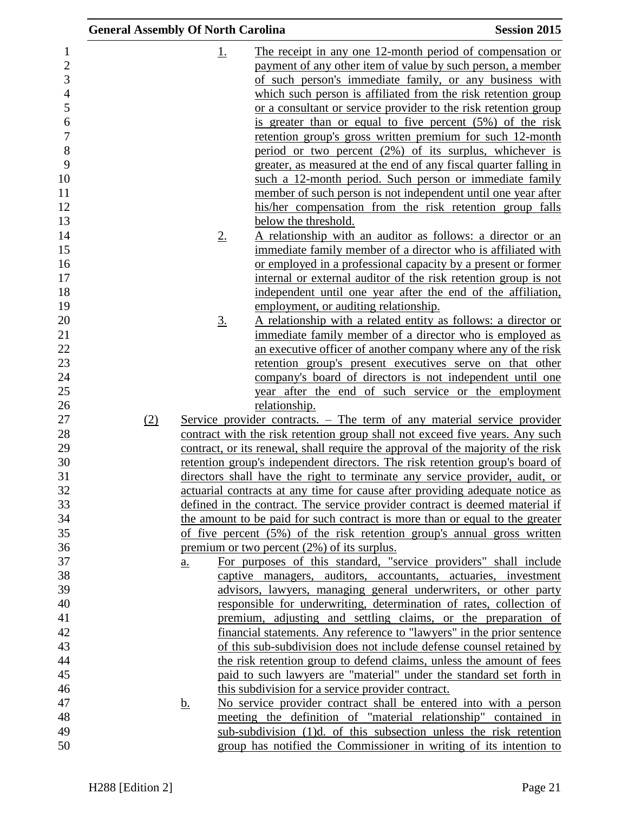|     |                   | <b>General Assembly Of North Carolina</b>     | <b>Session 2015</b>                                                                                                   |
|-----|-------------------|-----------------------------------------------|-----------------------------------------------------------------------------------------------------------------------|
|     | <u>1.</u>         |                                               | The receipt in any one 12-month period of compensation or                                                             |
|     |                   |                                               | payment of any other item of value by such person, a member                                                           |
|     |                   |                                               | of such person's immediate family, or any business with                                                               |
|     |                   |                                               | which such person is affiliated from the risk retention group                                                         |
|     |                   |                                               | or a consultant or service provider to the risk retention group                                                       |
|     |                   |                                               | is greater than or equal to five percent (5%) of the risk                                                             |
|     |                   |                                               | retention group's gross written premium for such 12-month                                                             |
|     |                   |                                               | period or two percent $(2%)$ of its surplus, whichever is                                                             |
|     |                   |                                               | greater, as measured at the end of any fiscal quarter falling in                                                      |
|     |                   |                                               | such a 12-month period. Such person or immediate family                                                               |
|     |                   |                                               | member of such person is not independent until one year after                                                         |
|     |                   |                                               | his/her compensation from the risk retention group falls                                                              |
|     |                   | below the threshold.                          |                                                                                                                       |
|     | 2.                |                                               | A relationship with an auditor as follows: a director or an                                                           |
|     |                   |                                               | immediate family member of a director who is affiliated with                                                          |
|     |                   |                                               | or employed in a professional capacity by a present or former                                                         |
|     |                   |                                               | internal or external auditor of the risk retention group is not                                                       |
|     |                   |                                               | independent until one year after the end of the affiliation,                                                          |
|     |                   |                                               | employment, or auditing relationship.                                                                                 |
|     | $\underline{3}$ . |                                               | A relationship with a related entity as follows: a director or                                                        |
|     |                   |                                               | immediate family member of a director who is employed as                                                              |
|     |                   |                                               | an executive officer of another company where any of the risk                                                         |
|     |                   |                                               | retention group's present executives serve on that other                                                              |
|     |                   |                                               | company's board of directors is not independent until one                                                             |
|     |                   |                                               | year after the end of such service or the employment                                                                  |
|     |                   | relationship.                                 |                                                                                                                       |
| (2) |                   |                                               | Service provider contracts. – The term of any material service provider                                               |
|     |                   |                                               | contract with the risk retention group shall not exceed five years. Any such                                          |
|     |                   |                                               | contract, or its renewal, shall require the approval of the majority of the risk                                      |
|     |                   |                                               | retention group's independent directors. The risk retention group's board of                                          |
|     |                   |                                               | directors shall have the right to terminate any service provider, audit, or                                           |
|     |                   |                                               | actuarial contracts at any time for cause after providing adequate notice as                                          |
|     |                   |                                               | defined in the contract. The service provider contract is deemed material if                                          |
|     |                   |                                               | the amount to be paid for such contract is more than or equal to the greater                                          |
|     |                   |                                               | of five percent (5%) of the risk retention group's annual gross written                                               |
|     |                   | premium or two percent $(2%)$ of its surplus. |                                                                                                                       |
|     | $\underline{a}$ . |                                               | For purposes of this standard, "service providers" shall include                                                      |
|     |                   |                                               | captive managers, auditors, accountants, actuaries, investment                                                        |
|     |                   |                                               | advisors, lawyers, managing general underwriters, or other party                                                      |
|     |                   |                                               | responsible for underwriting, determination of rates, collection of                                                   |
|     |                   |                                               | premium, adjusting and settling claims, or the preparation of                                                         |
|     |                   |                                               | financial statements. Any reference to "lawyers" in the prior sentence                                                |
|     |                   |                                               | of this sub-subdivision does not include defense counsel retained by                                                  |
|     |                   |                                               | the risk retention group to defend claims, unless the amount of fees                                                  |
|     |                   |                                               | paid to such lawyers are "material" under the standard set forth in                                                   |
|     |                   |                                               |                                                                                                                       |
|     |                   |                                               | this subdivision for a service provider contract.<br>No service provider contract shall be entered into with a person |
|     | <u>b.</u>         |                                               | meeting the definition of "material relationship" contained in                                                        |
|     |                   |                                               | sub-subdivision (1)d. of this subsection unless the risk retention                                                    |
|     |                   |                                               | group has notified the Commissioner in writing of its intention to                                                    |
|     |                   |                                               |                                                                                                                       |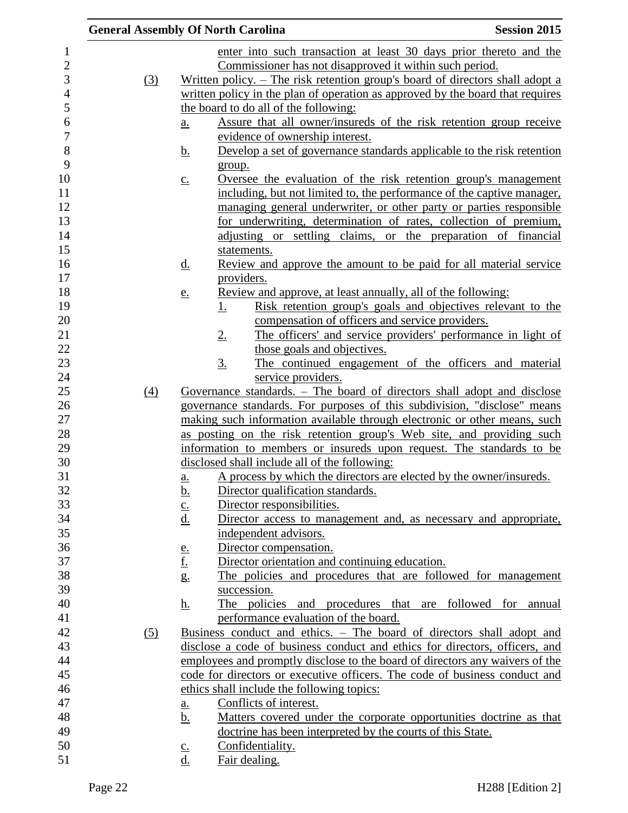| <b>General Assembly Of North Carolina</b> | <b>Session 2015</b>                                                                  |  |
|-------------------------------------------|--------------------------------------------------------------------------------------|--|
|                                           | enter into such transaction at least 30 days prior thereto and the                   |  |
|                                           | Commissioner has not disapproved it within such period.                              |  |
| (3)                                       | Written policy. – The risk retention group's board of directors shall adopt a        |  |
|                                           | written policy in the plan of operation as approved by the board that requires       |  |
|                                           | the board to do all of the following:                                                |  |
|                                           | Assure that all owner/insureds of the risk retention group receive<br>a.             |  |
|                                           | evidence of ownership interest.                                                      |  |
|                                           | Develop a set of governance standards applicable to the risk retention<br><u>b.</u>  |  |
|                                           | group.                                                                               |  |
|                                           | Oversee the evaluation of the risk retention group's management<br>$\underline{c}$ . |  |
|                                           | including, but not limited to, the performance of the captive manager,               |  |
|                                           | managing general underwriter, or other party or parties responsible                  |  |
|                                           | for underwriting, determination of rates, collection of premium,                     |  |
|                                           | adjusting or settling claims, or the preparation of financial                        |  |
|                                           | statements.                                                                          |  |
|                                           | Review and approve the amount to be paid for all material service<br><u>d.</u>       |  |
|                                           | providers.                                                                           |  |
|                                           | Review and approve, at least annually, all of the following:<br><u>e.</u>            |  |
|                                           | Risk retention group's goals and objectives relevant to the<br><u>1.</u>             |  |
|                                           | compensation of officers and service providers.                                      |  |
|                                           | The officers' and service providers' performance in light of<br><u>2.</u>            |  |
|                                           | those goals and objectives.                                                          |  |
|                                           | $\underline{3}$ .<br>The continued engagement of the officers and material           |  |
|                                           | service providers.                                                                   |  |
| (4)                                       | Governance standards. - The board of directors shall adopt and disclose              |  |
|                                           | governance standards. For purposes of this subdivision, "disclose" means             |  |
|                                           | making such information available through electronic or other means, such            |  |
|                                           | as posting on the risk retention group's Web site, and providing such                |  |
|                                           | information to members or insureds upon request. The standards to be                 |  |
|                                           | disclosed shall include all of the following:                                        |  |
|                                           | A process by which the directors are elected by the owner/insureds.<br>a.            |  |
|                                           | <u>b.</u><br>Director qualification standards.                                       |  |
|                                           | Director responsibilities.<br>$\underline{c}$ .                                      |  |
|                                           | <u>d.</u><br>Director access to management and, as necessary and appropriate,        |  |
|                                           | independent advisors.                                                                |  |
|                                           | Director compensation.                                                               |  |
|                                           | $\frac{e}{f}$<br>Director orientation and continuing education.                      |  |
|                                           | The policies and procedures that are followed for management<br>$g_{\cdot}$          |  |
|                                           | succession.                                                                          |  |
|                                           | The policies and procedures that are followed for annual<br><u>h.</u>                |  |
|                                           | performance evaluation of the board.                                                 |  |
| (5)                                       | Business conduct and ethics. – The board of directors shall adopt and                |  |
|                                           | disclose a code of business conduct and ethics for directors, officers, and          |  |
|                                           | employees and promptly disclose to the board of directors any waivers of the         |  |
|                                           | code for directors or executive officers. The code of business conduct and           |  |
|                                           | ethics shall include the following topics:                                           |  |
|                                           | Conflicts of interest.<br><u>a.</u>                                                  |  |
|                                           | <u>b.</u><br>Matters covered under the corporate opportunities doctrine as that      |  |
|                                           | doctrine has been interpreted by the courts of this State.                           |  |
|                                           | Confidentiality.<br>$\underline{\mathbf{c}}$ .                                       |  |
|                                           | $\mathbf{d}$ .<br>Fair dealing.                                                      |  |
|                                           |                                                                                      |  |